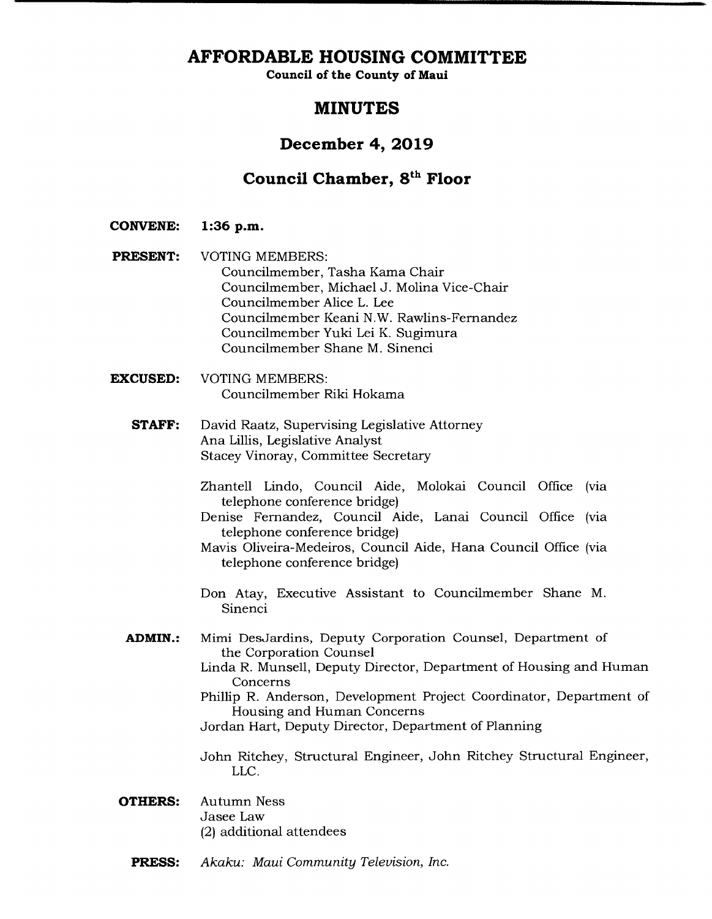# **AFFORDABLE HOUSING COMMITTEE**

**Council of the County of Maui** 

# **MINUTES**

# **December 4, 2019**

# **Council Chamber, 8" Floor**

**CONVENE: 1:36 p.m.** 

**PRESENT:** VOTING MEMBERS: Councilmember, Tasha Kama Chair Councilmember, Michael J. Molina Vice-Chair Councilmember Alice L. Lee Councilmember Keani N.W. Rawlins-Fernandez Councilmember Yuki Lei K. Sugimura Councilmember Shane M. Sinenci

- **EXCUSED:** VOTING MEMBERS: Councilmember Riki Hokama
	- **STAFF:** David Raatz, Supervising Legislative Attorney Ana Lillis, Legislative Analyst Stacey Vinoray, Committee Secretary
		- Zhantell Lindo, Council Aide, Molokai Council Office (via telephone conference bridge)
		- Denise Fernandez, Council Aide, Lanai Council Office (via telephone conference bridge)
		- Mavis Oliveira-Medeiros, Council Aide, Hana Council Office (via telephone conference bridge)
		- Don Atay, Executive Assistant to Councilmember Shane M. Sinenci
	- **ADMIN.:** Mimi DesJardins, Deputy Corporation Counsel, Department of the Corporation Counsel
		- Linda R. Munsell, Deputy Director, Department of Housing and Human **Concerns**
		- Phillip R. Anderson, Development Project Coordinator, Department of Housing and Human Concerns

Jordan Hart, Deputy Director, Department of Planning

John Ritchey, Structural Engineer, John Ritchey Structural Engineer, LLC.

- **OTHERS:** Autumn Ness Jasee Law (2) additional attendees
	- **PRESS:** *Akaku: Maui Community Television, Inc.*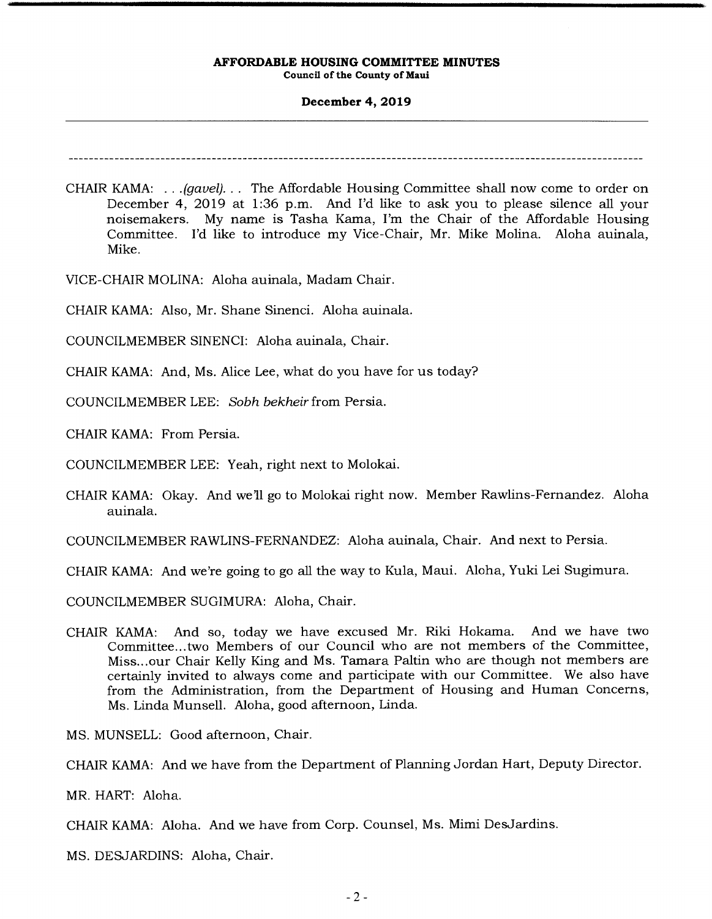# **December 4, 2019**

CHAIR KAMA: ...(gavel)... The Affordable Housing Committee shall now come to order on December 4, 2019 at 1:36 p.m. And I'd like to ask you to please silence all your noisemakers. My name is Tasha Kama, I'm the Chair of the Affordable Housing Committee. I'd like to introduce my Vice-Chair, Mr. Mike Molina. Aloha auinala, Mike.

VICE-CHAIR MOLINA: Aloha auinala, Madam Chair.

CHAIR KAMA: Also, Mr. Shane Sinenci. Aloha auinala.

COUNCILMEMBER SINENCI: Aloha auinala, Chair.

CHAIR KAMA: And, Ms. Alice Lee, what do you have for us today?

COUNCILMEMBER LEE: Sobh bekheir from Persia.

CHAIR KAMA: From Persia.

COUNCILMEMBER LEE: Yeah, right next to Molokai.

CHAIR KAMA: Okay. And we'll go to Molokai right now. Member Rawlins-Fernandez. Aloha auinala.

COUNCILMEMBER RAWLINS-FERNANDEZ: Aloha auinala, Chair. And next to Persia.

CHAIR KAMA: And we're going to go all the way to Kula, Maui. Aloha, Yuki Lei Sugimura.

COUNCILMEMBER SUGIMURA: Aloha, Chair.

CHAIR KAMA: And so, today we have excused Mr. Riki Hokama. And we have two Committee... two Members of our Council who are not members of the Committee, Miss... our Chair Kelly King and Ms. Tamara Paltin who are though not members are certainly invited to always come and participate with our Committee. We also have from the Administration, from the Department of Housing and Human Concerns, Ms. Linda Munsell. Aloha, good afternoon, Linda.

MS. MUNSELL: Good afternoon, Chair.

CHAIR KAMA: And we have from the Department of Planning Jordan Hart, Deputy Director.

MR. HART: Aloha.

CHAIR KAMA: Aloha. And we have from Corp. Counsel, Ms. Mimi DesJardins.

MS. DESJARDINS: Aloha, Chair.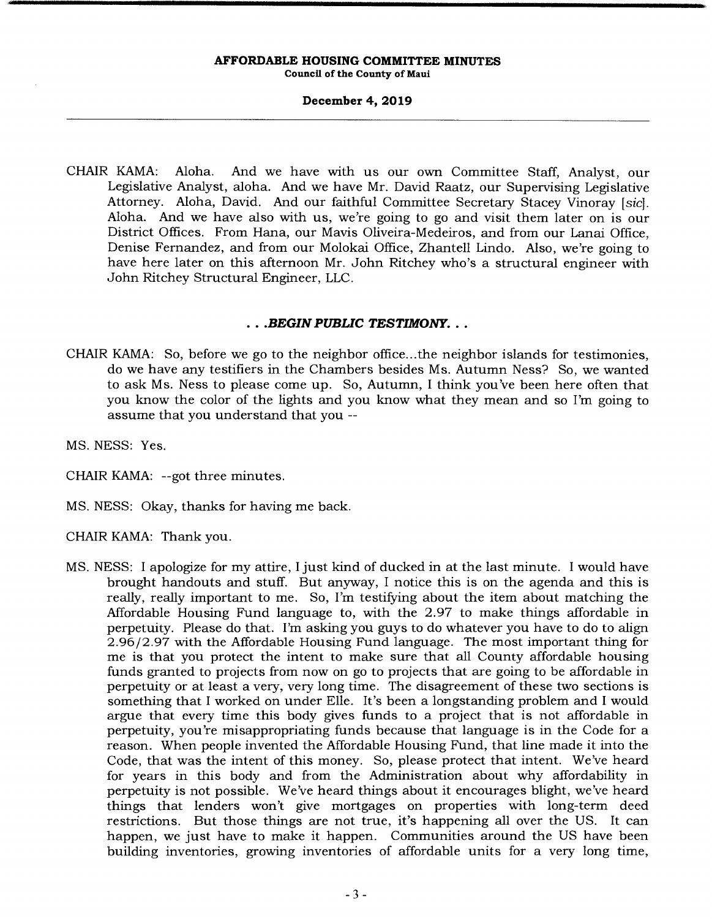# **December 4, 2019**

CHAIR KAMA: Aloha. And we have with us our own Committee Staff, Analyst, our Legislative Analyst, aloha. And we have Mr. David Raatz, our Supervising Legislative Attorney. Aloha, David. And our faithful Committee Secretary Stacey Vinoray [sic]. Aloha. And we have also with us, we're going to go and visit them later on is our District Offices. From Hana, our Mavis Oliveira-Medeiros, and from our Lanai Office. Denise Fernandez, and from our Molokai Office, Zhantell Lindo. Also, we're going to have here later on this afternoon Mr. John Ritchey who's a structural engineer with John Ritchey Structural Engineer, LLC.

# *• .BEGIN PUBLIC TESTIMONY..*

- CHAIR KAMA: So, before we go to the neighbor office.. .the neighbor islands for testimonies, do we have any testifiers in the Chambers besides Ms. Autumn Ness? So, we wanted to ask Ms. Ness to please come up. So, Autumn, I think you've been here often that you know the color of the lights and you know what they mean and so I'm going to assume that you understand that you --
- MS. NESS: Yes.
- CHAIR KAMA: --got three minutes.
- MS. NESS: Okay, thanks for having me back.
- CHAIR KAMA: Thank you.
- MS. NESS: I apologize for my attire, I just kind of ducked in at the last minute. I would have brought handouts and stuff. But anyway, I notice this is on the agenda and this is really, really important to me. So, I'm testifying about the item about matching the Affordable Housing Fund language to, with the 2.97 to make things affordable in perpetuity. Please do that. I'm asking you guys to do whatever you have to do to align 2.96/2.97 with the Affordable Housing Fund language. The most important thing for me is that you protect the intent to make sure that all County affordable housing funds granted to projects from now on go to projects that are going to be affordable in perpetuity or at least a very, very long time. The disagreement of these two sections is something that I worked on under Elle. It's been a longstanding problem and I would argue that every time this body gives funds to a project that is not affordable in perpetuity, you're misappropriating funds because that language is in the Code for a reason. When people invented the Affordable Housing Fund, that line made it into the Code, that was the intent of this money. So, please protect that intent. We've heard for years in this body and from the Administration about why affordability in perpetuity is not possible. We've heard things about it encourages blight, we've heard things that lenders won't give mortgages on properties with long-term deed restrictions. But those things are not true, it's happening all over the US. It can happen, we just have to make it happen. Communities around the US have been building inventories, growing inventories of affordable units for a very long time,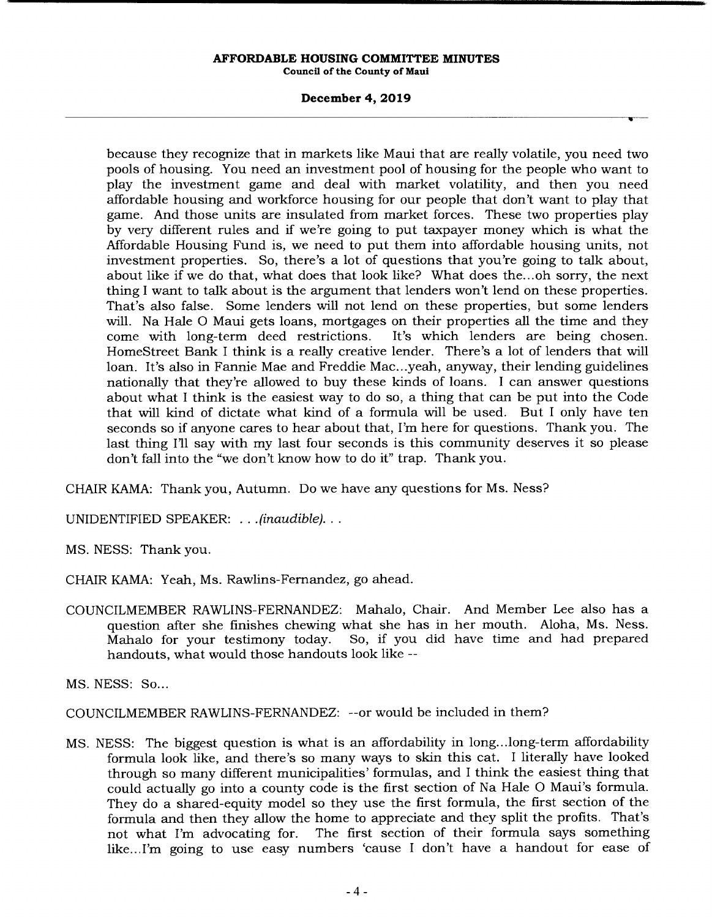# **December 4, 2019**

because they recognize that in markets like Maui that are really volatile, you need two pools of housing. You need an investment pool of housing for the people who want to play the investment game and deal with market volatility, and then you need affordable housing and workforce housing for our people that don't want to play that game. And those units are insulated from market forces. These two properties play by very different rules and if we're going to put taxpayer money which is what the Affordable Housing Fund is, we need to put them into affordable housing units, not investment properties. So, there's a lot of questions that you're going to talk about, about like if we do that, what does that look like? What does the...oh sorry, the next thing I want to talk about is the argument that lenders won't lend on these properties. That's also false. Some lenders will not lend on these properties, but some lenders will. Na Hale 0 Maui gets loans, mortgages on their properties all the time and they come with long-term deed restrictions. It's which lenders are being chosen. HomeStreet Bank I think is a really creative lender. There's a lot of lenders that will loan. It's also in Fannie Mae and Freddie Mac...yeah, anyway, their lending guidelines nationally that they're allowed to buy these kinds of loans. I can answer questions about what I think is the easiest way to do so, a thing that can be put into the Code that will kind of dictate what kind of a formula will be used. But I only have ten seconds so if anyone cares to hear about that, I'm here for questions. Thank you. The last thing I'll say with my last four seconds is this community deserves it so please don't fall into the "we don't know how to do it" trap. Thank you.

CHAIR KAMA: Thank you, Autumn. Do we have any questions for Ms. Ness?

UNIDENTIFIED SPEAKER: . . . *(inaudible)...* 

MS. NESS: Thank you.

CHAIR KAMA: Yeah, Ms. Rawlins-Fernandez, go ahead.

COUNCILMEMBER RAWLINS-FERNANDEZ: Mahalo, Chair. And Member Lee also has a question after she finishes chewing what she has in her mouth. Aloha, Ms. Ness.<br>Mahalo for your testimony today. So, if you did have time and had prepared So, if you did have time and had prepared handouts, what would those handouts look like --

MS. NESS: So...

COUNCILMEMBER RAWLINS-FERNANDEZ: --or would be included in them?

MS. NESS: The biggest question is what is an affordability in long.. .long-term affordability formula look like, and there's so many ways to skin this cat. I literally have looked through so many different municipalities' formulas, and I think the easiest thing that could actually go into a county code is the first section of Na Hale 0 Maui's formula. They do a shared-equity model so they use the first formula, the first section of the formula and then they allow the home to appreciate and they split the profits. That's not what I'm advocating for. The first section of their formula says something like... I'm going to use easy numbers 'cause I don't have a handout for ease of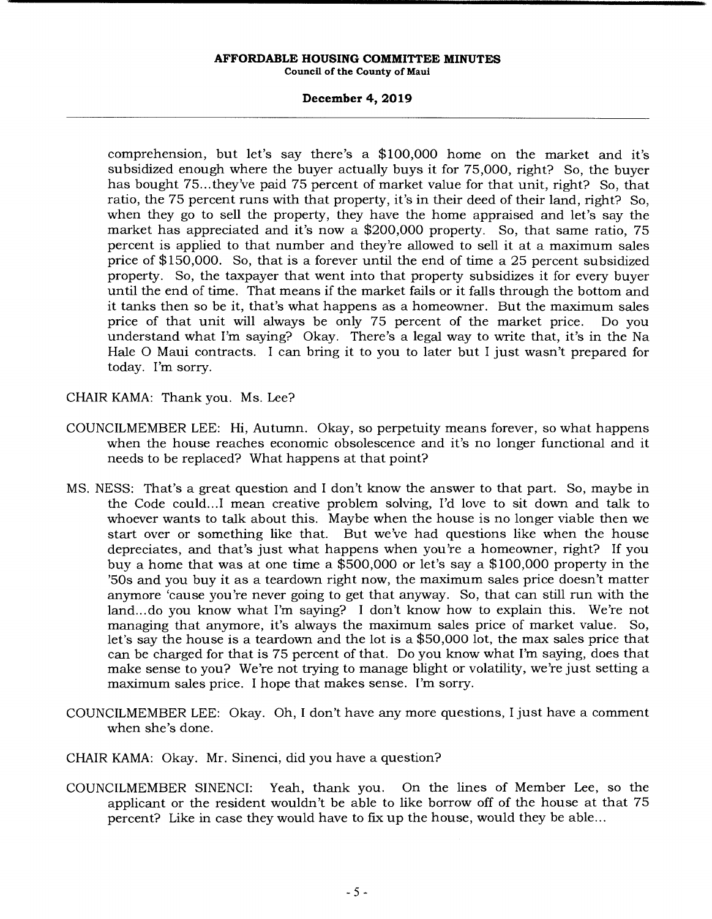# **December 4, 2019**

comprehension, but let's say there's a \$100,000 home on the market and it's subsidized enough where the buyer actually buys it for 75,000, right? So, the buyer has bought 75... they've paid 75 percent of market value for that unit, right? So, that ratio, the 75 percent runs with that property, it's in their deed of their land, right? So, when they go to sell the property, they have the home appraised and let's say the market has appreciated and it's now a \$200,000 property. So, that same ratio, 75 percent is applied to that number and they're allowed to sell it at a maximum sales price of \$150,000. So, that is a forever until the end of time a 25 percent subsidized property. So, the taxpayer that went into that property subsidizes it for every buyer until the end of time. That means if the market falls or it falls through the bottom and it tanks then so be it, that's what happens as a homeowner. But the maximum sales price of that unit will always be only 75 percent of the market price. Do you understand what I'm saying? Okay. There's a legal way to write that, it's in the Na Hale 0 Maui contracts. I can bring it to you to later but I just wasn't prepared for today. I'm sorry.

CHAIR KAMA: Thank you. Ms. Lee?

- COUNCILMEMBER LEE: Hi, Autumn. Okay, so perpetuity means forever, so what happens when the house reaches economic obsolescence and it's no longer functional and it needs to be replaced? What happens at that point?
- MS. NESS: That's a great question and I don't know the answer to that part. So, maybe in the Code could... I mean creative problem solving, I'd love to sit down and talk to whoever wants to talk about this. Maybe when the house is no longer viable then we start over or something like that. But we've had questions like when the house depreciates, and that's just what happens when you're a homeowner, right? If you buy a home that was at one time a \$500,000 or let's say a \$100,000 property in the 'SOs and you buy it as a teardown right now, the maximum sales price doesn't matter anymore 'cause you're never going to get that anyway. So, that can still run with the land... do you know what I'm saying? I don't know how to explain this. We're not managing that anymore, it's always the maximum sales price of market value. So, let's say the house is a teardown and the lot is a \$50,000 lot, the max sales price that can be charged for that is 75 percent of that. Do you know what I'm saying, does that make sense to you? We're not trying to manage blight or volatility, we're just setting a maximum sales price. I hope that makes sense. I'm sorry.
- COUNCILMEMBER LEE: Okay. Oh, I don't have any more questions, I just have a comment when she's done.
- CHAIR KAMA: Okay. Mr. Sinenci, did you have a question?
- COUNCILMEMBER SINENCI: *Yeah,* thank you. On the lines of Member Lee, so the applicant or the resident wouldn't be able to like borrow off of the house at that 75 percent? Like in case they would have to fix up the house, would they be able...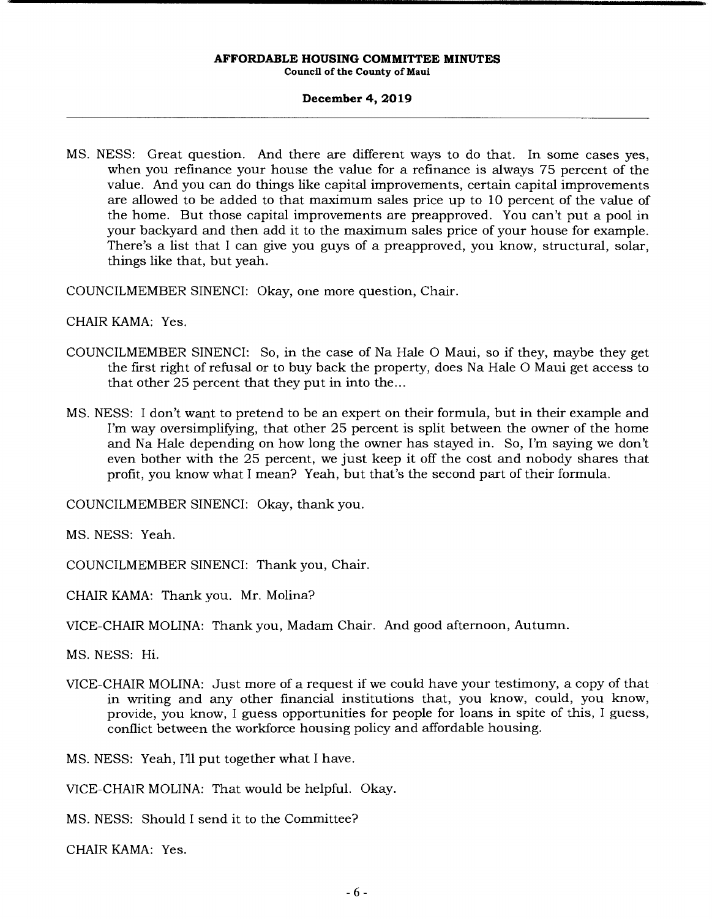# **December 4, 2019**

MS. NESS: Great question. And there are different ways to do that. In some cases yes, when you refinance your house the value for a refinance is always 75 percent of the value. And you can do things like capital improvements, certain capital improvements are allowed to be added to that maximum sales price up to 10 percent of the value of the home. But those capital improvements are preapproved. You can't put a pool in your backyard and then add it to the maximum sales price of your house for example. There's a list that I can give you guys of a preapproved, you know, structural, solar, things like that, but yeah.

COUNCILMEMBER SINENCI: Okay, one more question, Chair.

CHAIR KAMA: Yes.

- COUNCILMEMBER SINENCI: So, in the case of Na Hale 0 Maui, so if they, maybe they get the first right of refusal or to buy back the property, does Na Hale 0 Maui get access to that other 25 percent that they put in into the...
- MS. NESS: I don't want to pretend to be an expert on their formula, but in their example and I'm way oversimplifying, that other 25 percent is split between the owner of the home and Na Hale depending on how long the owner has stayed in. So, I'm saying we don't even bother with the 25 percent, we just keep it off the cost and nobody shares that profit, you know what I mean? Yeah, but that's the second part of their formula.

COUNCILMEMBER SINENCI: Okay, thank you.

MS. NESS: Yeah.

COUNCILMEMBER SINENCI: Thank you, Chair.

CHAIR KAMA: Thank you. Mr. Molina?

VICE-CHAIR MOLINA: Thank you, Madam Chair. And good afternoon, Autumn.

MS. NESS: Hi.

VICE-CHAIR MOLINA: Just more of a request if we could have your testimony, a copy of that in writing and any other financial institutions that, you know, could, you know, provide, you know, I guess opportunities for people for loans in spite of this, I guess, conflict between the workforce housing policy and affordable housing.

MS. NESS: Yeah, I'll put together what I have.

VICE-CHAIR MOLINA: That would be helpful. Okay.

MS. NESS: Should I send it to the Committee?

CHAIR KAMA: Yes.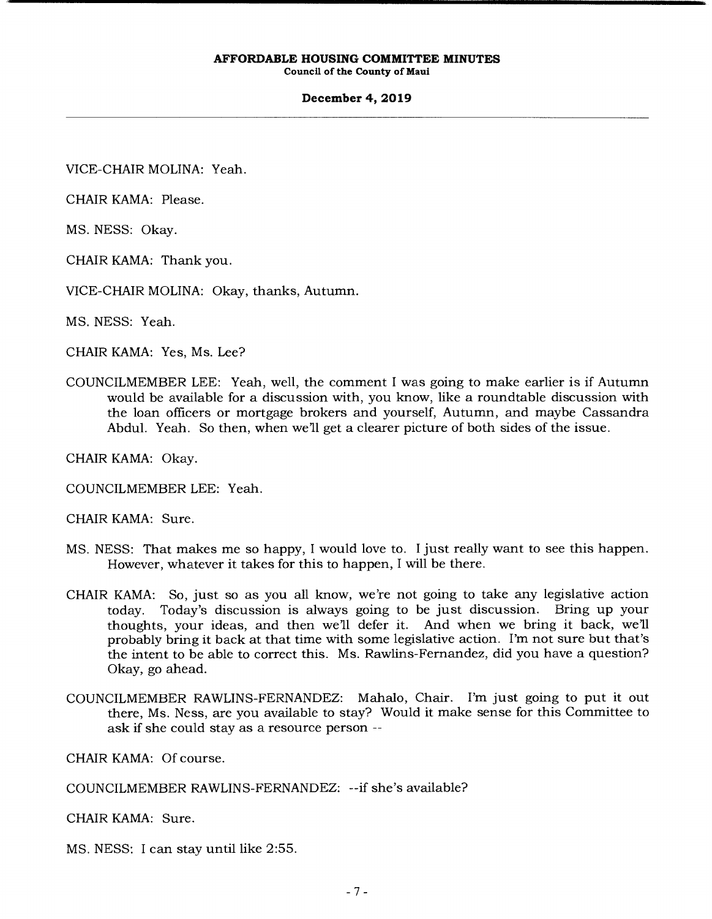# **December 4, 2019**

VICE-CHAIR MOLINA: Yeah.

CHAIR KAMA: Please.

MS. NESS: Okay.

CHAIR KAMA: Thank you.

VICE-CHAIR MOLINA: Okay, thanks, Autumn.

MS. NESS: Yeah.

CHAIR KAMA: Yes, Ms. Lee?

COUNCILMEMBER LEE: Yeah, well, the comment I was going to make earlier is if Autumn would be available for a discussion with, you know, like a roundtable discussion with the loan officers or mortgage brokers and yourself, Autumn, and maybe Cassandra Abdul. Yeah. So then, when well get a clearer picture of both sides of the issue.

CHAIR KAMA: Okay.

COUNCILMEMBER LEE: Yeah.

CHAIR KAMA: Sure.

- MS. NESS: That makes me so happy, I would love to. I just really want to see this happen. However, whatever it takes for this to happen, I will be there.
- CHAIR KAMA: So, just so as you all know, we're not going to take any legislative action today. Today's discussion is always going to be just discussion. Bring up your thoughts, your ideas, and then we'll defer it. And when we bring it back, we'll probably bring it back at that time with some legislative action. I'm not sure but that's the intent to be able to correct this. Ms. Rawlins-Fernandez, did you have a question? Okay, go ahead.
- COUNCILMEMBER RAWLINS-FERNANDEZ: Mahalo, Chair. I'm just going to put it out there, Ms. Ness, are you available to stay? Would it make sense for this Committee to ask if she could stay as a resource person --

CHAIR KAMA: Of course.

COUNCILMEMBER RAWLINS-FERNANDEZ: --if she's available?

CHAIR KAMA: Sure.

MS. NESS: I can stay until like 2:55.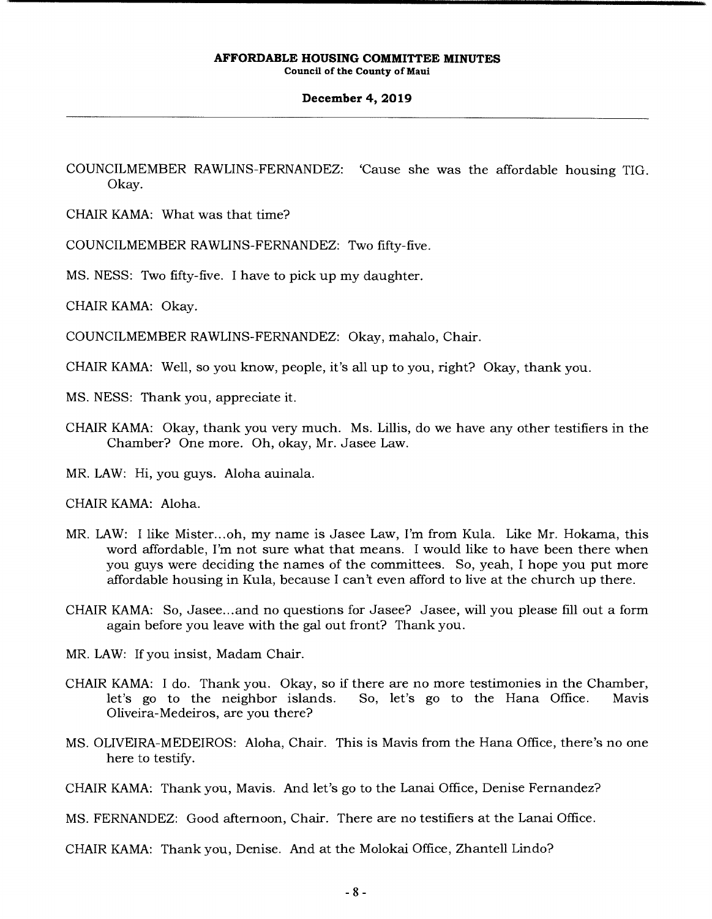### **December 4, 2019**

COUNCILMEMBER RAWLINS-FERNANDEZ: 'Cause she was the affordable housing TIG. Okay.

CHAIR KAMA: What was that time?

COUNCILMEMBER RAWLINS-FERNANDEZ: Two fifty-five.

MS. NESS: Two fifty-five. I have to pick up my daughter.

CHAIR KAMA: Okay.

COUNCILMEMBER RAWLINS-FERNANDEZ: Okay, mahalo, Chair.

CHAIR KAMA: Well, so you know, people, it's all up to you, right? Okay, thank you.

MS. NESS: Thank you, appreciate it.

CHAIR KAMA: Okay, thank you very much. Ms. Lillis, do we have any other testifiers in the Chamber? One more. Oh, okay, Mr. Jasee Law.

MR. LAW: Hi, you guys. Aloha auinala.

CHAIR KAMA: Aloha.

- MR. LAW: I like Mister... oh, my name is Jasee Law, I'm from Kula. Like Mr. Hokama, this word affordable, I'm not sure what that means. I would like to have been there when you guys were deciding the names of the committees. So, yeah, I hope you put more affordable housing in Kula, because I can't even afford to live at the church up there.
- CHAIR KAMA: So, Jasee.. .and no questions for Jasee? Jasee, will you please fill out a form again before you leave with the gal out front? Thank you.

MR. LAW: If you insist, Madam Chair.

- CHAIR KAMA: I do. Thank you. Okay, so if there are no more testimonies in the Chamber,<br>let's go to the neighbor islands. So, let's go to the Hana Office. Mavis let's go to the neighbor islands. So, let's go to the Hana Office. Mavis Oliveira-Medeiros, are you there?
- MS. OLIVEIRA-MEDEIROS: Aloha, Chair. This is Mavis from the Hana Office, there's no one here to testify.

CHAIR KAMA: Thank you, Mavis. And let's go to the Lanai Office, Denise Fernandez?

MS. FERNANDEZ: Good afternoon, Chair. There are no testifiers at the Lanai Office.

CHAIR KAMA: Thank you, Denise. And at the Molokai Office, Zhantell Lindo?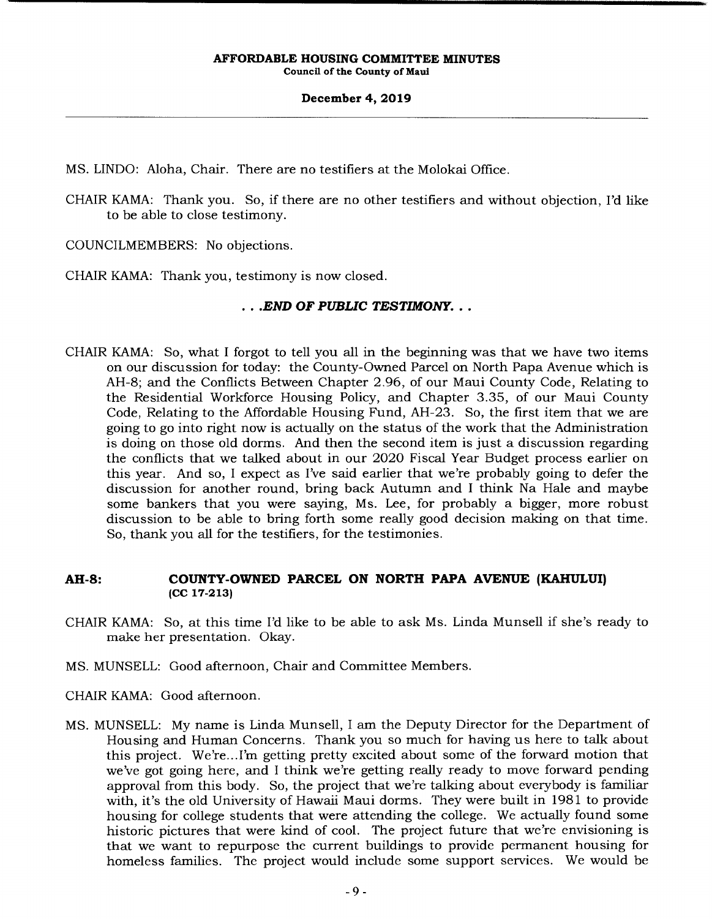# **December 4, 2019**

MS. UNDO: Aloha, Chair. There are no testifiers at the Molokai Office.

CHAIR KAMA: Thank you. So, if there are no other testifiers and without objection, I'd like to be able to close testimony.

COUNCILMEMBERS: No objections.

CHAIR KAMA: Thank you, testimony is now closed.

# *• .END OF PUBLIC TESTIMONY...*

CHAIR KAMA: So, what I forgot to tell you all in the beginning was that we have two items on our discussion for today: the County-Owned Parcel on North Papa Avenue which is AH-8; and the Conflicts Between Chapter 2.96, of our Maui County Code, Relating to the Residential Workforce Housing Policy, and Chapter 3.35, of our Maui County Code, Relating to the Affordable Housing Fund, AH-23. So, the first item that we are going to go into right now is actually on the status of the work that the Administration is doing on those old dorms. And then the second item is just a discussion regarding the conflicts that we talked about in our 2020 Fiscal Year Budget process earlier on this year. And so, I expect as I've said earlier that we're probably going to defer the discussion for another round, bring back Autumn and I think Na Hale and maybe some bankers that you were saying, Ms. Lee, for probably a bigger, more robust discussion to be able to bring forth some really good decision making on that time. So, thank you all for the testifiers, for the testimonies.

# **AH-8: COUNTY-OWNED PARCEL ON NORTH PAPA AVENUE (KAHULUI) (CC 17-213)**

- CHAIR KAMA: So, at this time I'd like to be able to ask Ms. Linda Munsell if she's ready to make her presentation. Okay.
- MS. MUNSELL: Good afternoon, Chair and Committee Members.
- CHAIR KAMA: Good afternoon.
- MS. MUNSELL: My name is Linda Munsell, I am the Deputy Director for the Department of Housing and Human Concerns. Thank you so much for having us here to talk about this project. We're... I'm getting pretty excited about some of the forward motion that we've got going here, and I think we're getting really ready to move forward pending approval from this body. So, the project that we're talking about everybody is familiar with, it's the old University of Hawaii Maui dorms. They were built in 1981 to provide housing for college students that were attending the college. We actually found some historic pictures that were kind of cool. The project future that we're envisioning is that we want to repurpose the current buildings to provide permanent housing for homeless families. The project would include some support services. We would be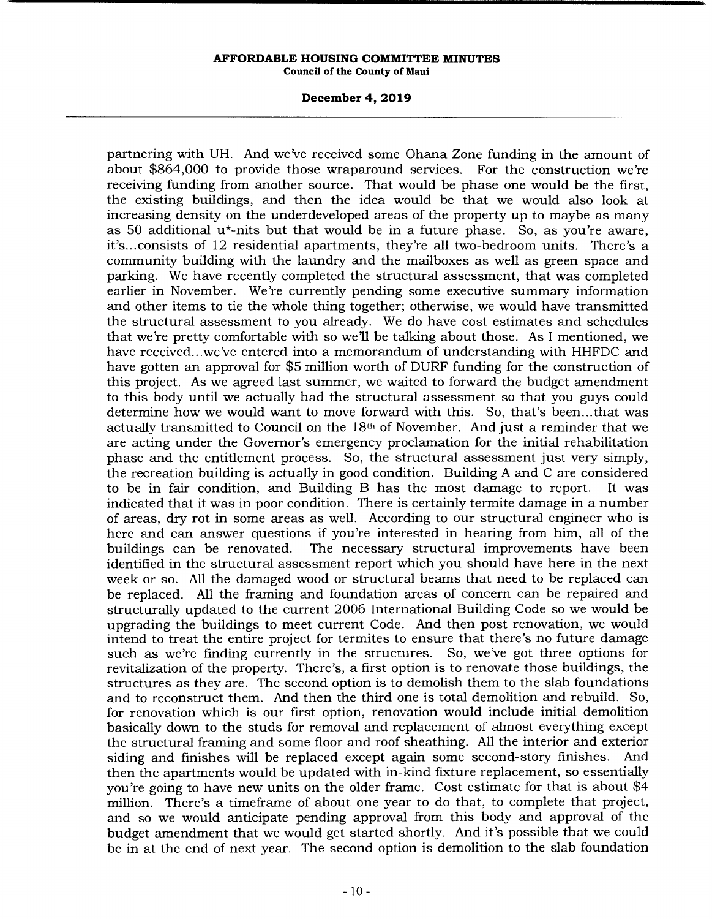## **December 4, 2019**

partnering with UH. And we've received some Ohana Zone funding in the amount of about \$864,000 to provide those wraparound services. For the construction we're receiving funding from another source. That would be phase one would be the first, the existing buildings, and then the idea would be that we would also look at increasing density on the underdeveloped areas of the property up to maybe as many as 50 additional  $u^*$ -nits but that would be in a future phase. So, as you're aware, it's... consists of 12 residential apartments, they're all two-bedroom units. There's a community building with the laundry and the mailboxes as well as green space and parking. We have recently completed the structural assessment, that was completed earlier in November. We're currently pending some executive summary information and other items to tie the whole thing together; otherwise, we would have transmitted the structural assessment to you already. We do have cost estimates and schedules that we're pretty comfortable with so well be talking about those. As I mentioned, we have received.. .we've entered into a memorandum of understanding with HHFDC and have gotten an approval for \$5 million worth of DURF funding for the construction of this project. As we agreed last summer, we waited to forward the budget amendment to this body until we actually had the structural assessment so that you guys could determine how we would want to move forward with this. So, that's been... that was actually transmitted to Council on the 18th of November. And just a reminder that we are acting under the Governor's emergency proclamation for the initial rehabilitation phase and the entitlement process. So, the structural assessment just very simply, the recreation building is actually in good condition. Building A and C are considered to be in fair condition, and Building B has the most damage to report. It was indicated that it was in poor condition. There is certainly termite damage in a number of areas, dry rot in some areas as well. According to our structural engineer who is here and can answer questions if you're interested in hearing from him, all of the buildings can be renovated. The necessary structural improvements have been identified in the structural assessment report which you should have here in the next week or so. All the damaged wood or structural beams that need to be replaced can be replaced. All the framing and foundation areas of concern can be repaired and structurally updated to the current 2006 International Building Code so we would be upgrading the buildings to meet current Code. And then post renovation, we would intend to treat the entire project for termites to ensure that there's no future damage such as we're finding currently in the structures. So, we've got three options for revitalization of the property. There's, a first option is to renovate those buildings, the structures as they are. The second option is to demolish them to the slab foundations and to reconstruct them. And then the third one is total demolition and rebuild. So, for renovation which is our first option, renovation would include initial demolition basically down to the studs for removal and replacement of almost everything except the structural framing and some floor and roof sheathing. All the interior and exterior siding and finishes will be replaced except again some second-story finishes. And then the apartments would be updated with in-kind fixture replacement, so essentially you're going to have new units on the older frame. Cost estimate for that is about \$4 million. There's a timeframe of about one year to do that, to complete that project, and so we would anticipate pending approval from this body and approval of the budget amendment that we would get started shortly. And it's possible that we could be in at the end of next year. The second option is demolition to the slab foundation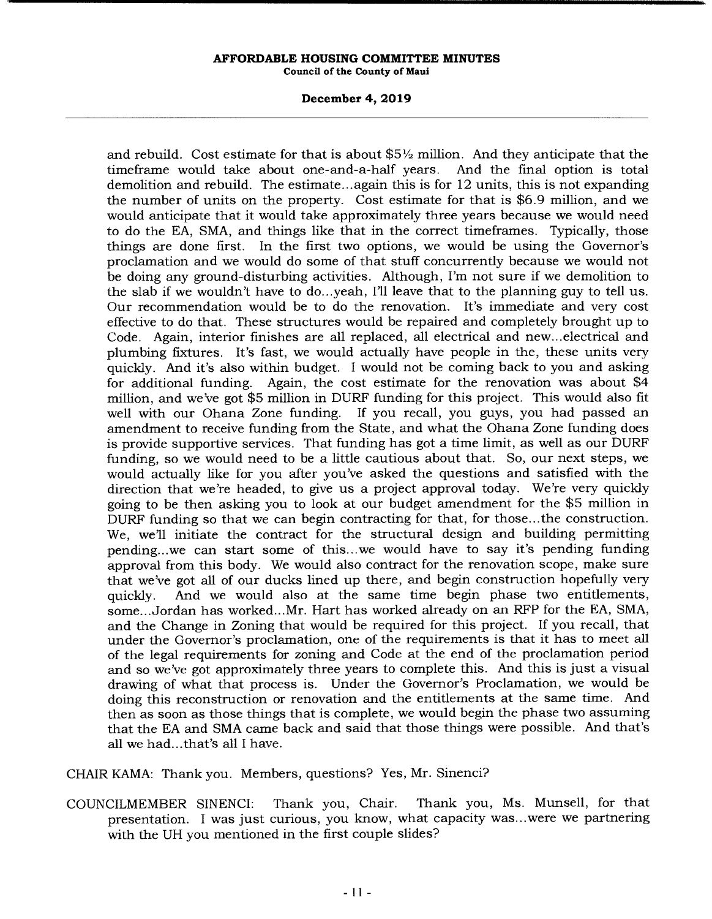# **December 4, 2019**

and rebuild. Cost estimate for that is about  $$5\frac{1}{2}$  million. And they anticipate that the time frame would take about one-and-a-half years. And the final option is total timeframe would take about one-and-a-half years. demolition and rebuild. The estimate.. .again this is for 12 units, this is not expanding the number of units on the property. Cost estimate for that is \$6.9 million, and we would anticipate that it would take approximately three years because we would need to do the EA, SMA, and things like that in the correct timeframes. Typically, those things are done first. In the first two options, we would be using the Governor's proclamation and we would do some of that stuff concurrently because we would not be doing any ground-disturbing activities. Although, I'm not sure if we demolition to the slab if we wouldn't have to do...yeah, I'll leave that to the planning guy to tell us. Our recommendation would be to do the renovation. It's immediate and very cost effective to do that. These structures would be repaired and completely brought up to Code. Again, interior finishes are all replaced, all electrical and new... electrical and plumbing fixtures. It's fast, we would actually have people in the, these units very quickly. And it's also within budget. I would not be coming back to you and asking for additional funding. Again, the cost estimate for the renovation was about \$4 million, and we've got \$5 million in DURF funding for this project. This would also fit well with our Ohana Zone funding. If you recall, you guys, you had passed an amendment to receive funding from the State, and what the Ohana Zone funding does is provide supportive services. That funding has got a time limit, as well as our DURF funding, so we would need to be a little cautious about that. So, our next steps, we would actually like for you after you've asked the questions and satisfied with the direction that we're headed, to give us a project approval today. We're very quickly going to be then asking you to look at our budget amendment for the \$5 million in DURF funding so that we can begin contracting for that, for those... the construction. We, we'll initiate the contract for the structural design and building permitting pending.. .we can start some of this... we would have to say it's pending funding approval from this body. We would also contract for the renovation scope, make sure that we've got all of our ducks lined up there, and begin construction hopefully very quickly. And we would also at the same time begin phase two entitlements, some.. .Jordan has worked... Mr. Hart has worked already on an RFP for the EA, SMA, and the Change in Zoning that would be required for this project. If you recall, that under the Governor's proclamation, one of the requirements is that it has to meet all of the legal requirements for zoning and Code at the end of the proclamation period and so we've got approximately three years to complete this. And this is just a visual drawing of what that process is. Under the Governor's Proclamation, we would be doing this reconstruction or renovation and the entitlements at the same time. And then as soon as those things that is complete, we would begin the phase two assuming that the EA and SMA came back and said that those things were possible. And that's all we had.. .that's all I have.

CHAIR KAMA: Thank you. Members, questions? Yes, Mr. Sinenci?

COUNCILMEMBER SINENCI: Thank you, Chair. Thank you, Ms. Munsell, for that presentation. I was just curious, you know, what capacity was.. .were we partnering with the UH you mentioned in the first couple slides?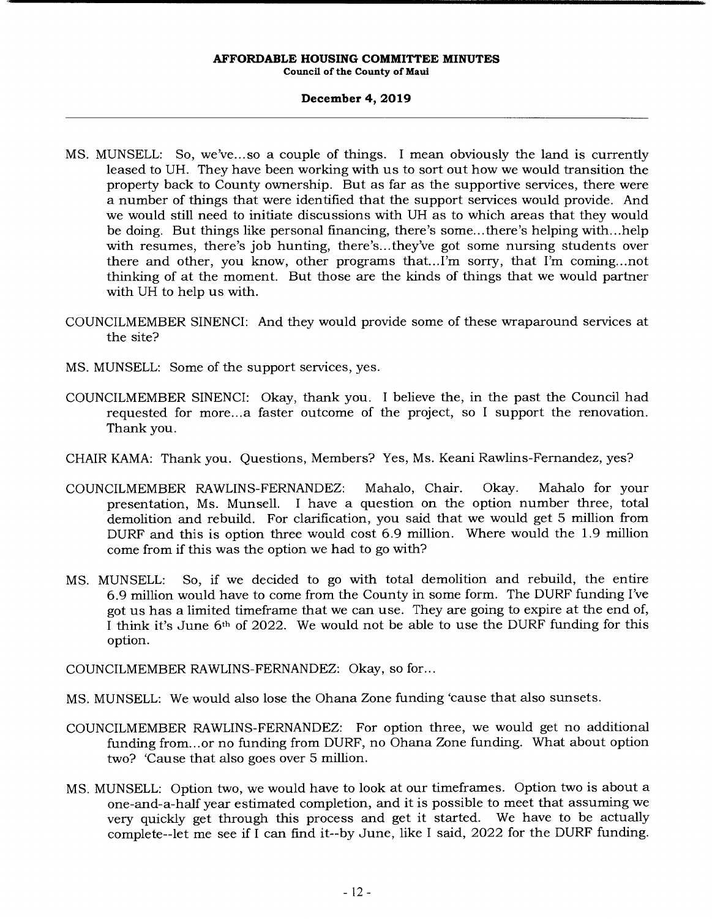# **December 4, 2019**

- MS. MUNSELL: So, we've.., so a couple of things. I mean obviously the land is currently leased to UH. They have been working with us to sort out how we would transition the property back to County ownership. But as far as the supportive services, there were a number of things that were identified that the support services would provide. And we would still need to initiate discussions with UH as to which areas that they would be doing. But things like personal financing, there's some.. .there's helping with.. .help with resumes, there's job hunting, there's... they've got some nursing students over there and other, you know, other programs that... I'm sorry, that I'm coming.. .not thinking of at the moment. But those are the kinds of things that we would partner with UH to help us with.
- COUNCILMEMBER SINENCI: And they would provide some of these wraparound services at the site?
- MS. MUNSELL: Some of the support services, yes.
- COUNCILMEMBER SINENCI: Okay, thank you. I believe the, in the past the Council had requested for more... a faster outcome of the project, so I support the renovation. Thank you.
- CHAIR KAMA: Thank you. Questions, Members? Yes, Ms. Keani Rawlins-Fernandez, yes?
- COUNCILMEMBER RAWLINS-FERNANDEZ: Mahalo, Chair. Okay. Mahalo for your presentation, Ms. Munsell. I have a question on the option number three, total demolition and rebuild. For clarification, you said that we would get 5 million from DURF and this is option three would cost 6.9 million. Where would the 1.9 million come from if this was the option we had to go with?
- MS. MUNSELL: So, if we decided to go with total demolition and rebuild, the entire 6.9 million would have to come from the County in some form. The DURF funding I've got us has a limited timeframe that we can use. They are going to expire at the end of, I think it's June 6<sup>th</sup> of 2022. We would not be able to use the DURF funding for this option.

COUNCILMEMBER RAWLINS-FERNANDEZ: Okay, so for...

- MS. MUNSELL: We would also lose the Ohana Zone funding 'cause that also sunsets.
- COUNCILMEMBER RAWLINS-FERNANDEZ: For option three, we would get no additional funding from... or no funding from DURF, no Ohana Zone funding. What about option two? 'Cause that also goes over 5 million.
- MS. MUNSELL: Option two, we would have to look at our timeframes. Option two is about a one-and-a-half year estimated completion, and it is possible to meet that assuming we<br>very quickly get through this process and get it started. We have to be actually very quickly get through this process and get it started. complete--let me see if I can find it--by June, like I said, 2022 for the DURF funding.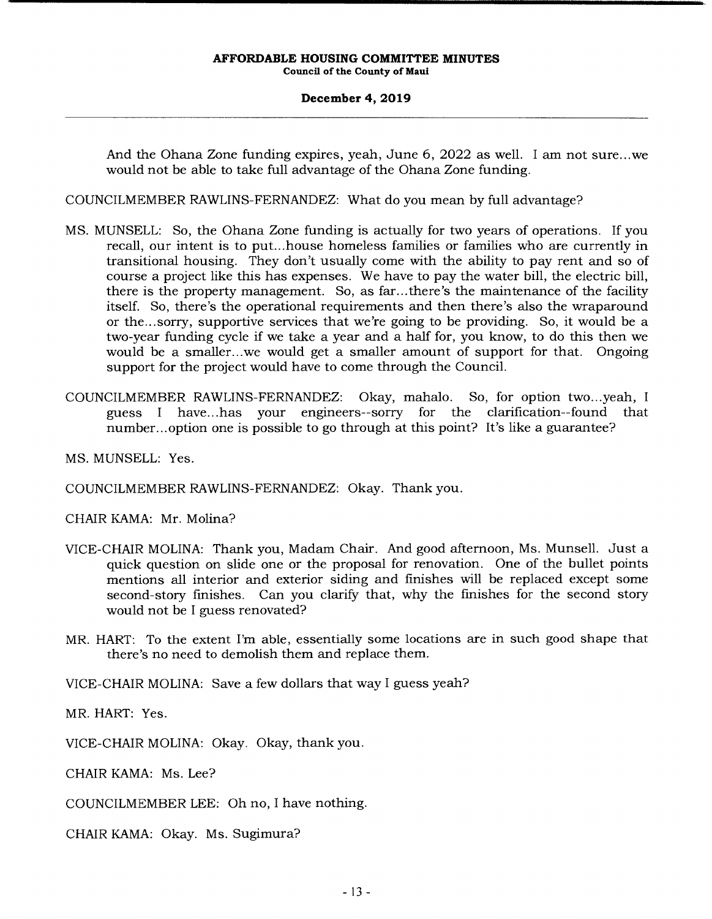### **December 4, 2019**

And the Ohana Zone funding expires, yeah, June 6, 2022 as well. I am not sure.. .we would not be able to take full advantage of the Ohana Zone funding.

COUNCILMEMBER RAWLINS-FERNANDEZ: What do you mean by full advantage?

- MS. MUNSELL: So, the Ohana Zone funding is actually for two years of operations. If you recall, our intent is to put.. .house homeless families or families who are currently in transitional housing. They don't usually come with the ability to pay rent and so of course a project like this has expenses. We have to pay the water bill, the electric bill, there is the property management. So, as far.. .there's the maintenance of the facility itself. So, there's the operational requirements and then there's also the wraparound or the... sorry, supportive services that we're going to be providing. So, it would be a two-year funding cycle if we take a year and a half for, you know, to do this then we would be a smaller...we would get a smaller amount of support for that. Ongoing support for the project would have to come through the Council.
- COUNCILMEMBER RAWLINS-FERNANDEZ: Okay, mahalo. So, for option two.. .yeah, I guess I have.. .has your engineers--sorry for the clarification--found that number... option one is possible to go through at this point? It's like a guarantee?

MS. MUNSELL: Yes.

COUNCILMEMBER RAWLINS-FERNANDEZ: Okay. Thank you.

CHAIR KAMA: Mr. Molina?

- VICE-CHAIR MOLINA: Thank you, Madam Chair. And good afternoon, Ms. Munsell. Just a quick question on slide one or the proposal for renovation. One of the bullet points mentions all interior and exterior siding and finishes will be replaced except some second-story finishes. Can you clarify that, why the finishes for the second story would not be I guess renovated?
- MR. HART: To the extent I'm able, essentially some locations are in such good shape that there's no need to demolish them and replace them.

VICE-CHAIR MOLINA: Save a few dollars that way I guess yeah?

MR. HART: Yes.

VICE-CHAIR MOLINA: Okay. Okay, thank you.

CHAIR KAMA: Ms. Lee?

COUNCILMEMBER LEE: Oh no, I have nothing.

CHAIR KAMA: Okay. Ms. Sugimura?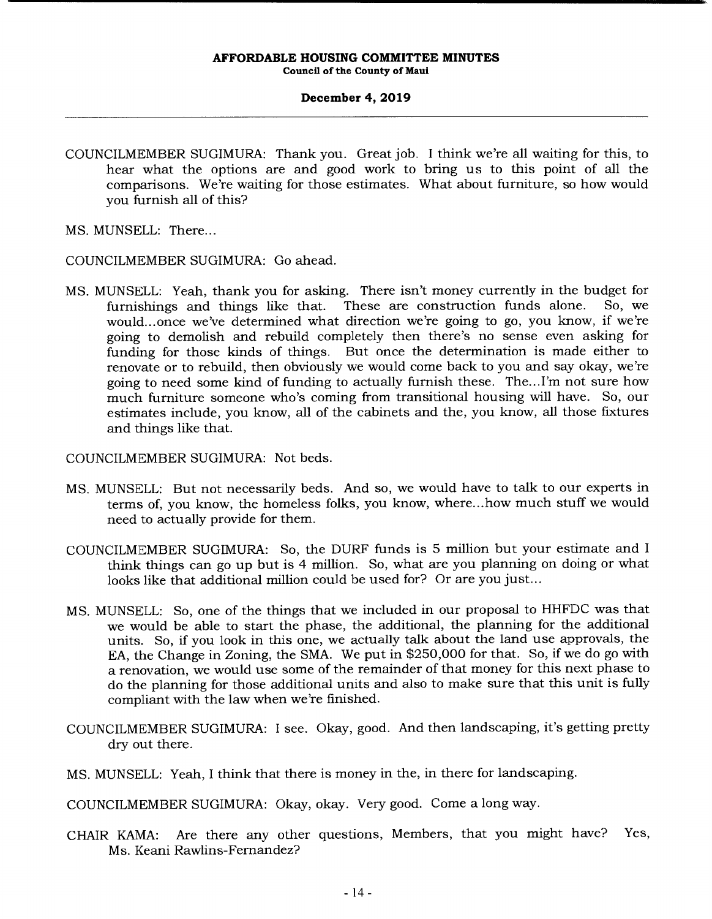# **December 4, 2019**

- COUNCILMEMBER SUGIMURA: Thank you. Great job. I think we're all waiting for this, to hear what the options are and good work to bring us to this point of all the comparisons. We're waiting for those estimates. What about furniture, so how would you furnish all of this?
- MS. MUNSELL: There...

COUNCILMEMBER SUGIMURA: Go ahead.

MS. MUNSELL: Yeah, thank you for asking. There isn't money currently in the budget for furnishings and things like that. These are construction funds alone. So, we would... once we've determined what direction we're going to go, you know, if we're going to demolish and rebuild completely then there's no sense even asking for funding for those kinds of things. But once the determination is made either to renovate or to rebuild, then obviously we would come back to you and say okay, we're going to need some kind of funding to actually furnish these. The... I'm not sure how much furniture someone who's coming from transitional housing will have. So, our estimates include, you know, all of the cabinets and the, you know, all those fixtures and things like that.

COUNCILMEMBER SUGIMURA: Not beds.

- MS. MUNSELL: But not necessarily beds. And so, we would have to talk to our experts in terms of, you know, the homeless folks, you know, where... how much stuff we would need to actually provide for them.
- COUNCILMEMBER SUGIMURA: So, the DURF funds is 5 million but your estimate and I think things can go up but is 4 million. So, what are you planning on doing or what looks like that additional million could be used for? Or are you just...
- MS. MUNSELL: So, one of the things that we included in our proposal to HHFDC was that we would be able to start the phase, the additional, the planning for the additional units. So, if you look in this one, we actually talk about the land use approvals, the EA, the Change in Zoning, the SMA. We put in \$250,000 for that. So, if we do go with a renovation, we would use some of the remainder of that money for this next phase to do the planning for those additional units and also to make sure that this unit is fully compliant with the law when we're finished.
- COUNCILMEMBER SUGIMURA: I see. Okay, good. And then landscaping, it's getting pretty dry out there.
- MS. MUNSELL: Yeah, I think that there is money in the, in there for landscaping.

COUNCILMEMBER SUGIMURA: Okay, okay. Very good. Come a long way.

CHAIR KAMA: Are there any other questions, Members, that you might have? Yes, Ms. Keani Rawlins-Fernandez?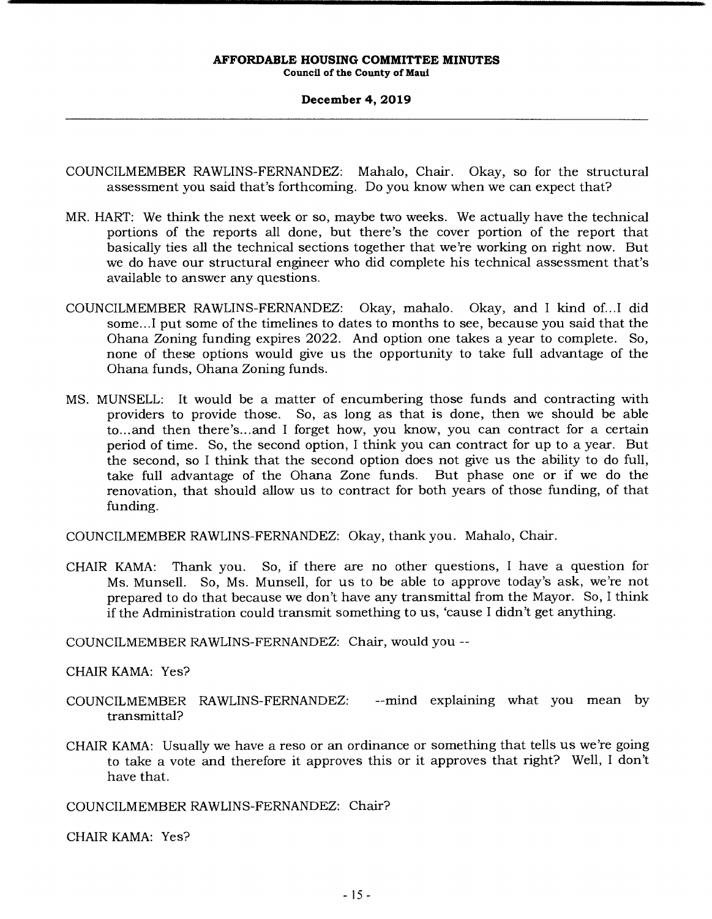# **December 4, 2019**

- COUNCILMEMBER RAWLINS-FERNANDEZ: Mahalo, Chair. Okay, so for the structural assessment you said that's forthcoming. Do you know when we can expect that?
- MR. HART: We think the next week or so, maybe two weeks. We actually have the technical portions of the reports all done, but there's the cover portion of the report that basically ties all the technical sections together that we're working on right now. But we do have our structural engineer who did complete his technical assessment that's available to answer any questions.
- COUNCILMEMBER RAWLINS-FERNANDEZ: Okay, mahalo. Okay, and I kind of... I did some... I put some of the timelines to dates to months to see, because you said that the Ohana Zoning funding expires 2022. And option one takes a year to complete. So, none of these options would give us the opportunity to take full advantage of the Ohana funds, Ohana Zoning funds.
- MS. MUNSELL: It would be a matter of encumbering those funds and contracting with providers to provide those. So, as long as that is done, then we should be able to... and then there's... and I forget how, you know, you can contract for a certain period of time. So, the second option, I think you can contract for up to a year. But the second, so I think that the second option does not give us the ability to do full, take full advantage of the Ohana Zone funds. But phase one or if we do the renovation, that should allow us to contract for both years of those funding, of that funding.

COUNCILMEMBER RAWLINS-FERNANDEZ: Okay, thank you. Mahalo, Chair.

CHAIR KAMA: Thank you. So, if there are no other questions, I have a question for Ms. Munsell. So, Ms. Munsell, for us to be able to approve today's ask, we're not prepared to do that because we don't have any transmittal from the Mayor. So, I think if the Administration could transmit something to us, 'cause I didn't get anything.

COUNCILMEMBER RAWLINS-FERNANDEZ: Chair, would you --

- CHAIR KAMA: Yes?
- COUNCILMEMBER RAWLINS-FERNANDEZ: --mind explaining what you mean by transmittal?
- CHAIR KAMA: Usually we have a reso or an ordinance or something that tells us we're going to take a vote and therefore it approves this or it approves that right? Well, I don't have that.

COUNCILMEMBER RAWLINS-FERNANDEZ: Chair?

CHAIR KAMA: Yes?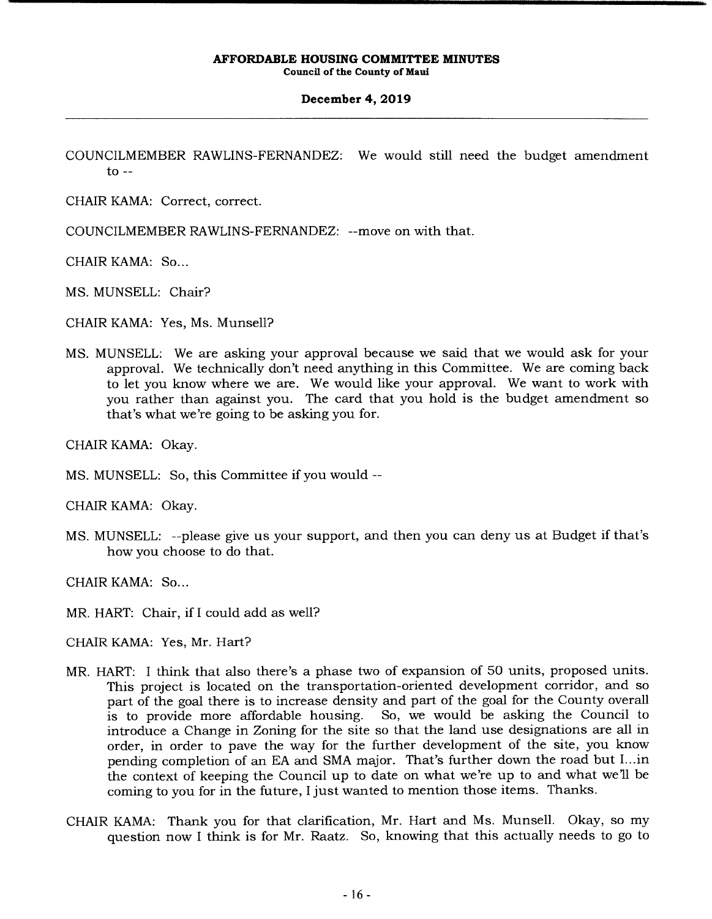# **December 4, 2019**

COUNCILMEMBER RAWLINS-FERNANDEZ: We would still need the budget amendment to  $-$ 

CHAIR KAMA: Correct, correct.

COUNCILMEMBER RAWLINS-FERNANDEZ: --move on with that.

CHAIR KAMA: So...

MS. MUNSELL: Chair?

CHAIR KAMA: Yes, Ms. Munsell?

MS. MUNSELL: We are asking your approval because we said that we would ask for your approval. We technically don't need anything in this Committee. We are coming back to let you know where we are. We would like your approval. We want to work with you rather than against you. The card that you hold is the budget amendment so that's what we're going to be asking you for.

CHAIR KAMA: Okay.

MS. MUNSELL: So, this Committee if you would --

CHAIR KAMA: Okay.

MS. MUNSELL: --please give us your support, and then you can deny us at Budget if that's how you choose to do that.

CHAIR KAMA: So...

MR. HART: Chair, if I could add as well?

CHAIR KAMA: Yes, Mr. Hart?

- MR. HART: I think that also there's a phase two of expansion of 50 units, proposed units. This project is located on the transportation-oriented development corridor, and so part of the goal there is to increase density and part of the goal for the County overall is to provide more affordable housing. So, we would be asking the Council to introduce a Change in Zoning for the site so that the land use designations are all in order, in order to pave the way for the further development of the site, you know pending completion of an EA and SMA major. That's further down the road but I...in the context of keeping the Council up to date on what we're up to and what we'll be coming to you for in the future, I just wanted to mention those items. Thanks.
- CHAIR KAMA: Thank you for that clarification, Mr. Hart and Ms. Munsell. Okay, so my question now I think is for Mr. Raatz. So, knowing that this actually needs to go to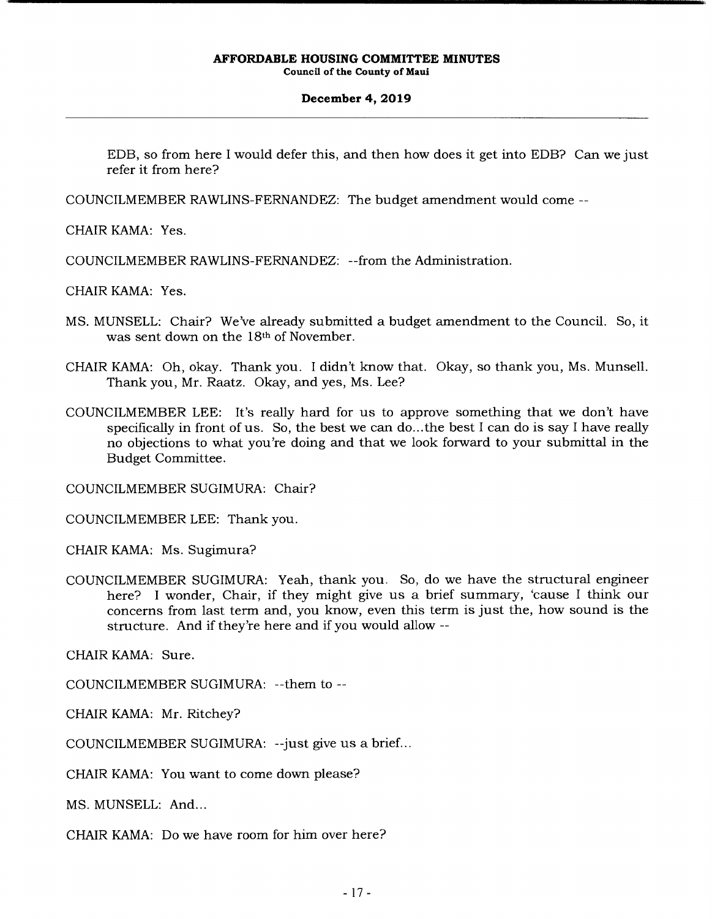# **December 4, 2019**

EDB, so from here I would defer this, and then how does it get into EDB? Can we just refer it from here?

COUNCILMEMBER RAWLINS-FERNANDEZ: The budget amendment would come --

CHAIR KAMA: Yes.

COUNCILMEMBER RAWLINS-FERNANDEZ: --from the Administration.

CHAIR KAMA: Yes.

- MS. MUNSELL: Chair? We've already submitted a budget amendment to the Council. So, it was sent down on the 18th of November.
- CHAIR KAMA: Oh, okay. Thank you. I didn't know that. Okay, so thank you, Ms. Munsell. Thank you, Mr. Raatz. Okay, and yes, Ms. Lee?
- COUNCILMEMBER LEE: It's really hard for us to approve something that we don't have specifically in front of us. So, the best we can do... the best I can do is say I have really no objections to what you're doing and that we look forward to your submittal in the Budget Committee.

COUNCILMEMBER SUGIMURA: Chair?

COUNCILMEMBER LEE: Thank you.

CHAIR KAMA: Ms. Sugimura?

COUNCILMEMBER SUGIMURA: Yeah, thank you. So, do we have the structural engineer here? I wonder, Chair, if they might give us a brief summary, 'cause I think our concerns from last term and, you know, even this term is just the, how sound is the structure. And if they're here and if you would allow --

CHAIR KAMA: Sure.

COUNCILMEMBER SUGIMURA: --them to --

CHAIR KAMA: Mr. Ritchey?

COUNCILMEMBER SUGIMURA: --just give us a brief...

CHAIR KAMA: You want to come down please?

MS. MUNSELL: And...

CHAIR KAMA: Do we have room for him over here?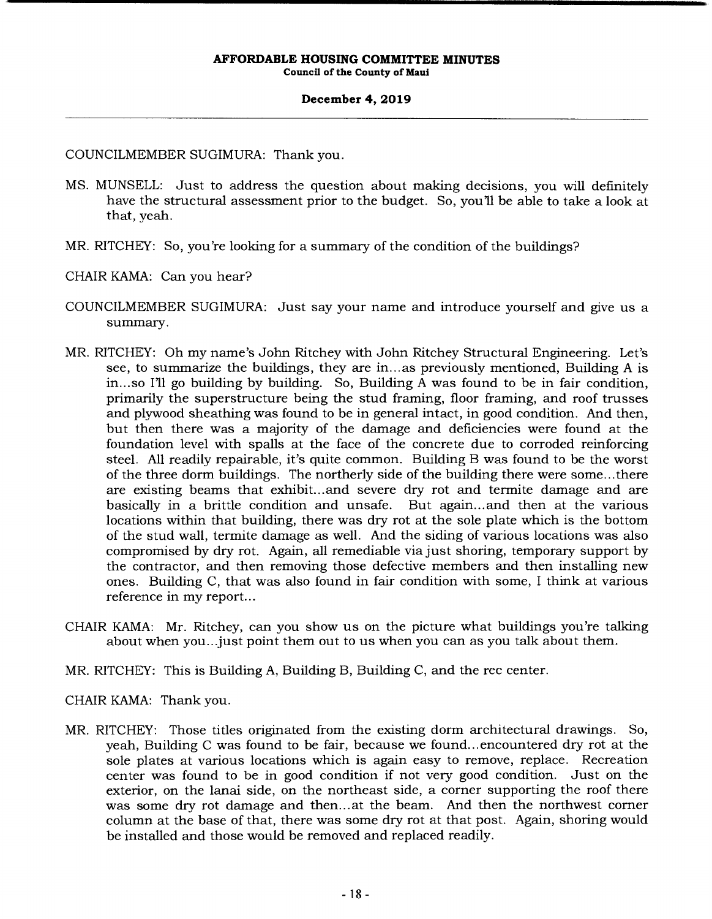# **December 4, 2019**

COUNCILMEMBER SUGIMURA: Thank you.

- MS. MUNSELL: Just to address the question about making decisions, you will definitely have the structural assessment prior to the budget. So, you'll be able to take a look at that, yeah.
- MR. RITCHEY: So, you're looking for a summary of the condition of the buildings?
- CHAIR KAMA: Can you hear?
- COUNCILMEMBER SUGIMURA: Just say your name and introduce yourself and give us a summary.
- MR. RITCHEY: Oh my name's John Ritchey with John Ritchey Structural Engineering. Let's see, to summarize the buildings, they are in... as previously mentioned, Building A is in... so I'll go building by building. So, Building A was found to be in fair condition, primarily the superstructure being the stud framing, floor framing, and roof trusses and plywood sheathing was found to be in general intact, in good condition. And then, but then there was a majority of the damage and deficiencies were found at the foundation level with spalls at the face of the concrete due to corroded reinforcing steel. All readily repairable, it's quite common. Building B was found to be the worst of the three dorm buildings. The northerly side of the building there were some.. .there are existing beams that exhibit... and severe dry rot and termite damage and are basically in a brittle condition and unsafe. But again.., and then at the various locations within that building, there was dry rot at the sole plate which is the bottom of the stud wall, termite damage as well. And the siding of various locations was also compromised by dry rot. Again, all remediable via just shoring, temporary support by the contractor, and then removing those defective members and then installing new ones. Building C, that was also found in fair condition with some, I think at various reference in my report...
- CHAIR KAMA: Mr. Ritchey, can you show us on the picture what buildings you're talking about when you... just point them out to us when you can as you talk about them.
- MR. RITCHEY: This is Building A, Building B, Building C, and the rec center.
- CHAIR KAMA: Thank you.
- MR. RITCHEY: Those titles originated from the existing dorm architectural drawings. So, yeah, Building C was found to be fair, because we found... encountered dry rot at the sole plates at various locations which is again easy to remove, replace. Recreation center was found to be in good condition if not very good condition. Just on the exterior, on the lanai side, on the northeast side, a corner supporting the roof there was some dry rot damage and then... at the beam. And then the northwest corner column at the base of that, there was some dry rot at that post. Again, shoring would be installed and those would be removed and replaced readily.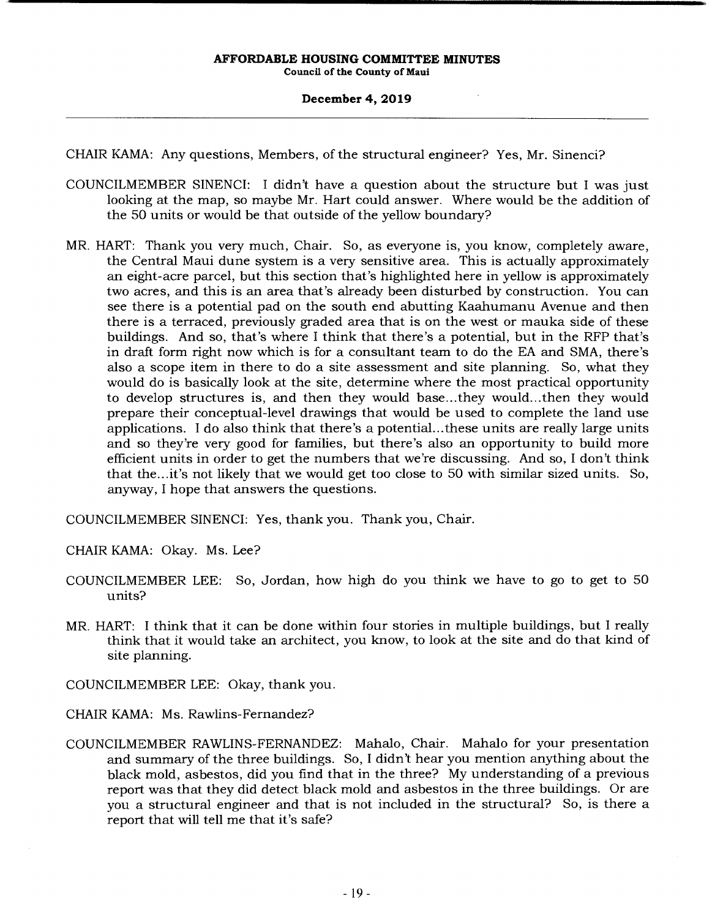## **December 4, 2019**

CHAIR KAMA: Any questions, Members, of the structural engineer? Yes, Mr. Sinenci?

- COUNCILMEMBER SINENCI: I didn't have a question about the structure but I was just looking at the map, so maybe Mr. Hart could answer. Where would be the addition of the 50 units or would be that outside of the yellow boundary?
- MR. HART: Thank you very much, Chair. So, as everyone is, you know, completely aware, the Central Maui dune system is a very sensitive area. This is actually approximately an eight-acre parcel, but this section that's highlighted here in yellow is approximately two acres, and this is an area that's already been disturbed by construction. You can see there is a potential pad on the south end abutting Kaahumanu Avenue and then there is a terraced, previously graded area that is on the west or mauka side of these buildings. And so, that's where I think that there's a potential, but in the RFP that's in draft form right now which is for a consultant team to do the EA and SMA, there's also a scope item in there to do a site assessment and site planning. So, what they would do is basically look at the site, determine where the most practical opportunity to develop structures is, and then they would base... they would... then they would prepare their conceptual-level drawings that would be used to complete the land use applications. I do also think that there's a potential... these units are really large units and so they're very good for families, but there's also an opportunity to build more efficient units in order to get the numbers that we're discussing. And so, I don't think that the... it's not likely that we would get too close to 50 with similar sized units. So, anyway, I hope that answers the questions.

COUNCILMEMBER SINENCI: Yes, thank you. Thank you, Chair.

CHAIR KAMA: Okay. Ms. Lee?

- COUNCILMEMBER LEE: So, Jordan, how high do you think we have to go to get to 50 units?
- MR. HART: I think that it can be done within four stories in multiple buildings, but I really think that it would take an architect, you know, to look at the site and do that kind of site planning.

COUNCILMEMBER LEE: Okay, thank you.

CHAIR KAMA: Ms. Rawlins-Fernandez?

COUNCILMEMBER RAWLINS-FERNANDEZ: Mahalo, Chair. Mahalo for your presentation and summary of the three buildings. So, I didn't hear you mention anything about the black mold, asbestos, did you find that in the three? My understanding of a previous report was that they did detect black mold and asbestos in the three buildings. Or are you a structural engineer and that is not included in the structural? So, is there a report that will tell me that it's safe?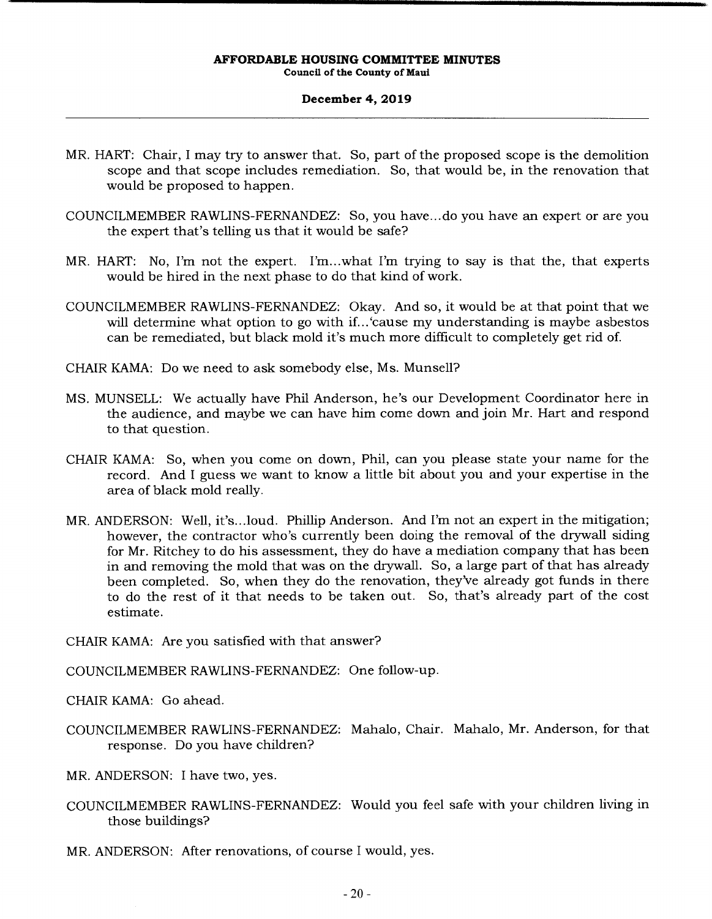# **December 4, 2019**

- MR. HART: Chair, I may try to answer that. So, part of the proposed scope is the demolition scope and that scope includes remediation. So, that would be, in the renovation that would be proposed to happen.
- COUNCILMEMBER RAWLINS-FERNANDEZ: So, you have.., do you have an expert or are you the expert that's telling us that it would be safe?
- MR. HART: No, I'm not the expert. I'm.. .what I'm trying to say is that the, that experts would be hired in the next phase to do that kind of work.
- COUNCILMEMBER RAWLINS-FERNANDEZ: Okay. And so, it would be at that point that we will determine what option to go with if... 'cause my understanding is maybe asbestos can be remediated, but black mold it's much more difficult to completely get rid of.
- CHAIR KAMA: Do we need to ask somebody else, Ms. Munsell?
- MS. MUNSELL: We actually have Phil Anderson, he's our Development Coordinator here in the audience, and maybe we can have him come down and join Mr. Hart and respond to that question.
- CHAIR KAMA: So, when you come on down, Phil, can you please state your name for the record. And I guess we want to know a little bit about you and your expertise in the area of black mold really.
- MR. ANDERSON: Well, it's.. .loud. Phillip Anderson. And I'm not an expert in the mitigation; however, the contractor who's currently been doing the removal of the drywall siding for Mr. Ritchey to do his assessment, they do have a mediation company that has been in and removing the mold that was on the drywall. So, a large part of that has already been completed. So, when they do the renovation, they've already got funds in there to do the rest of it that needs to be taken out. So, that's already part of the cost estimate.
- CHAIR KAMA: Are you satisfied with that answer?
- COUNCILMEMBER RAWLINS-FERNANDEZ: One follow-up.
- CHAIR KAMA: Go ahead.
- COUNCILMEMBER RAWLINS-FERNANDEZ: Mahalo, Chair. Mahalo, Mr. Anderson, for that response. Do you have children?
- MR. ANDERSON: I have two, yes.
- COUNCILMEMBER RAWLINS-FERNANDEZ: Would you feel safe with your children living in those buildings?
- MR. ANDERSON: After renovations, of course I would, yes.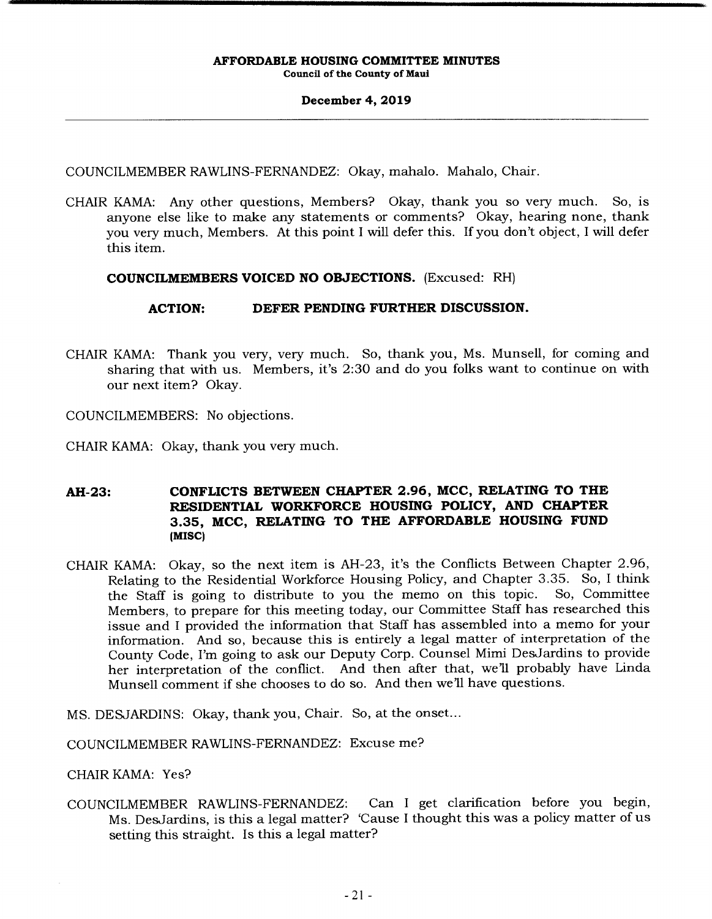# **December 4, 2019**

COUNCILMEMBER RAWLINS-FERNANDEZ: Okay, mahalo. Mahalo, Chair.

CHAIR KAMA: Any other questions, Members? Okay, thank you so very much. So, is anyone else like to make any statements or comments? Okay, hearing none, thank you very much, Members. At this point I will defer this. If you don't object, I will defer this item.

# **COUNCILMEMBERS VOICED NO OBJECTIONS.** (Excused: RH)

# **ACTION: DEFER PENDING FURTHER DISCUSSION.**

CHAIR KAMA: Thank you very, very much. So, thank you, Ms. Munsell, for coming and sharing that with us. Members, it's 2:30 and do you folks want to continue on with our next item? Okay.

COUNCILMEMBERS: No objections.

CHAIR KAMA: Okay, thank you very much.

# **AH-23: CONFLICTS BETWEEN CHAPTER 2.96, MCC, RELATING TO THE RESIDENTIAL WORKFORCE HOUSING POLICY, AND CHAPTER 3.35, MCC, RELATING TO THE AFFORDABLE HOUSING FUND (MISC)**

CHAIR KAMA: Okay, so the next item is AH-23, it's the Conflicts Between Chapter 2.96, Relating to the Residential Workforce Housing Policy, and Chapter 3.35. So, I think<br>the Staff is going to distribute to you the memo on this topic. So, Committee the Staff is going to distribute to you the memo on this topic. Members, to prepare for this meeting today, our Committee Staff has researched this issue and I provided the information that Staff has assembled into a memo for your information. And so, because this is entirely a legal matter of interpretation of the County Code, I'm going to ask our Deputy Corp. Counsel Mimi DesJardins to provide her interpretation of the conflict. And then after that, we'll probably have Linda Munsell comment if she chooses to do so. And then we'll have questions.

MS. DESJARDINS: Okay, thank you, Chair. So, at the onset...

COUNCILMEMBER RAWLINS-FERNANDEZ: Excuse me?

CHAIR KAMA: Yes?

COUNCILMEMBER RAWLINS-FERNANDEZ: Can I get clarification before you begin, Ms. DesJardins, is this a legal matter? 'Cause I thought this was a policy matter of us setting this straight. Is this a legal matter?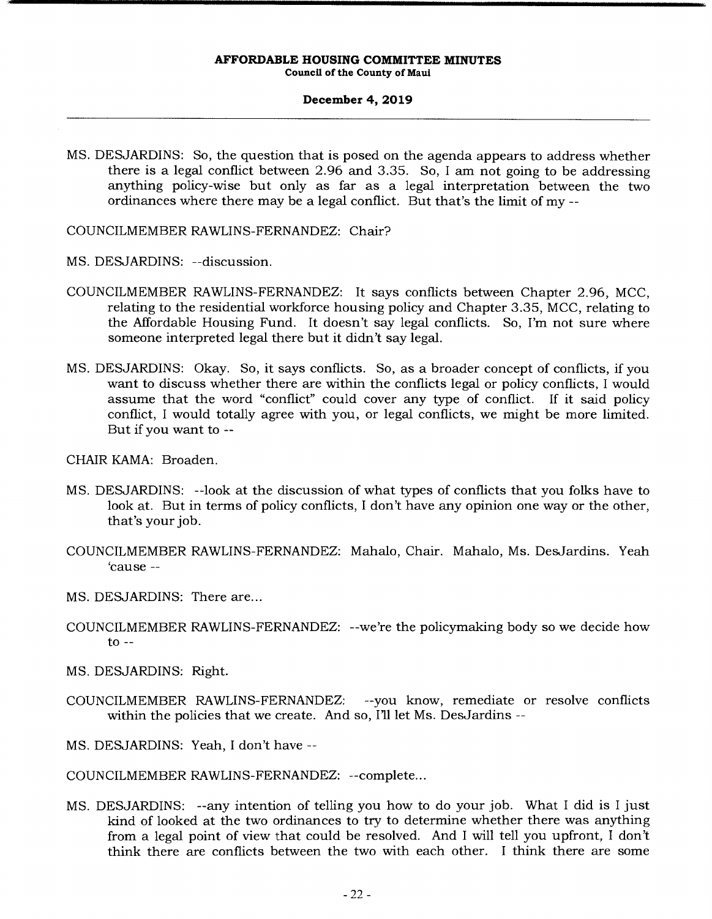# **December 4, 2019**

MS. DESJARDINS: So, the question that is posed on the agenda appears to address whether there is a legal conflict between 2.96 and 3.35. So, I am not going to be addressing anything policy-wise but only as far as a legal interpretation between the two ordinances where there may be a legal conflict. But that's the limit of my --

COUNCILMEMBER RAWLINS-FERNANDEZ: Chair?

- MS. DESJARDINS: --discussion.
- COUNCILMEMBER RAWLINS-FERNANDEZ: It says conflicts between Chapter 2.96, MCC, relating to the residential workforce housing policy and Chapter 3.35, MCC, relating to the Affordable Housing Fund. It doesn't say legal conflicts. So, I'm not sure where someone interpreted legal there but it didn't say legal.
- MS. DESJARDINS: Okay. So, it says conflicts. So, as a broader concept of conflicts, if you want to discuss whether there are within the conflicts legal or policy conflicts, I would assume that the word "conflict" could cover any type of conflict. If it said policy conflict, I would totally agree with you, or legal conflicts, we might be more limited. But if you want to --
- CHAIR KAMA: Broaden.
- MS. DESJARDINS: --look at the discussion of what types of conflicts that you folks have to look at. But in terms of policy conflicts, I don't have any opinion one way or the other, that's your job.
- COUNCILMEMBER RAWLINS-FERNANDEZ: Mahalo, Chair. Mahalo, Ms. DesJardins. Yeah 'cause --
- MS. DESJARDINS: There are...
- COUNCILMEMBER RAWLINS-FERNANDEZ: --we're the policymaking body so we decide how  $to --$
- MS. DESJARDINS: Right.
- COUNCILMEMBER RAWLINS-FERNANDEZ: --you know, remediate or resolve conflicts within the policies that we create. And so, I'll let Ms. DesJardins --
- MS. DESJARDINS: Yeah, I don't have --

COUNCILMEMBER RAWLINS-FERNANDEZ: --complete...

MS. DESJARDINS: --any intention of telling you how to do your job. What I did is I just kind of looked at the two ordinances to try to determine whether there was anything from a legal point of view that could be resolved. And I will tell you upfront, I don't think there are conflicts between the two with each other. I think there are some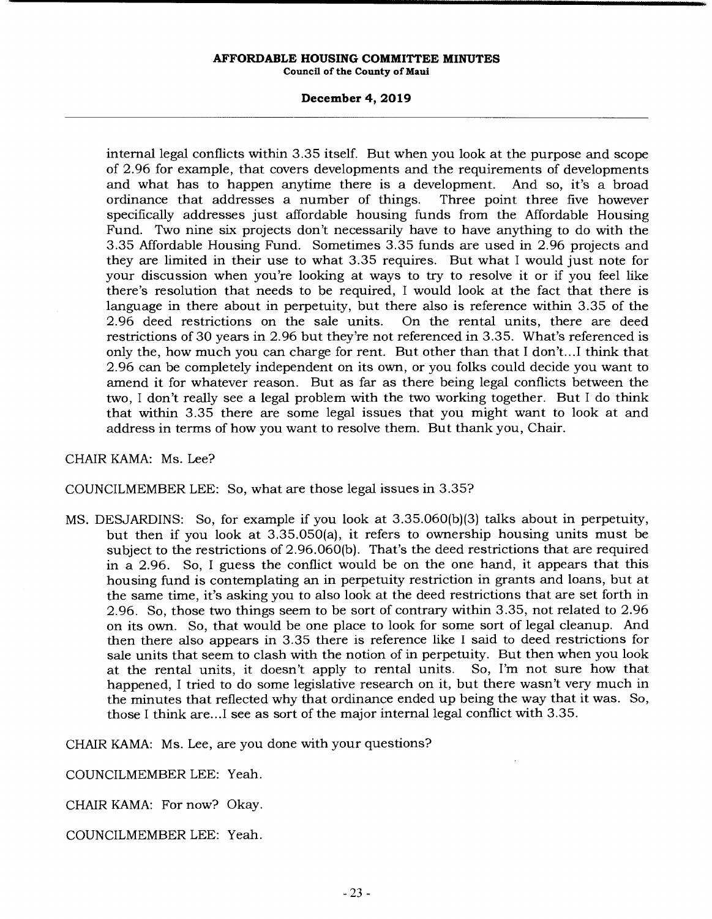## **December 4, 2019**

internal legal conflicts within 3.35 itself. But when you look at the purpose and scope of 2.96 for example, that covers developments and the requirements of developments and what has to happen anytime there is a development. And so, it's a broad ordinance that addresses a number of things. Three point three five however specifically addresses just affordable housing funds from the Affordable Housing Fund. Two nine six projects don't necessarily have to have anything to do with the 3.35 Affordable Housing Fund. Sometimes 3.35 funds are used in 2.96 projects and they are limited in their use to what 3.35 requires. But what I would just note for your discussion when you're looking at ways to try to resolve it or if you feel like there's resolution that needs to be required, I would look at the fact that there is language in there about in perpetuity, but there also is reference within 3.35 of the 2.96 deed restrictions on the sale units. On the rental units, there are deed 2.96 deed restrictions on the sale units. restrictions of 30 years in 2.96 but they're not referenced in 3.35. What's referenced is only the, how much you can charge for rent. But other than that I don't...I think that 2.96 can be completely independent on its own, or you folks could decide you want to amend it for whatever reason. But as far as there being legal conflicts between the two, I don't really see a legal problem with the two working together. But I do think that within 3.35 there are some legal issues that you might want to look at and address in terms of how you want to resolve them. But thank you, Chair.

# CHAIR KAMA: Ms. Lee?

# COUNCILMEMBER LEE: So, what are those legal issues in 3.35?

MS. DESJARDINS: So, for example if you look at 3.35.060(b)(3) talks about in perpetuity, but then if you look at 3.35.050(a), it refers to ownership housing units must be subject to the restrictions of 2.96.060(b). That's the deed restrictions that are required in a 2.96. So, I guess the conflict would be on the one hand, it appears that this housing fund is contemplating an in perpetuity restriction in grants and loans, but at the same time, it's asking you to also look at the deed restrictions that are set forth in 2.96. So, those two things seem to be sort of contrary within 3.35, not related to 2.96 on its own. So, that would be one place to look for some sort of legal cleanup. And then there also appears in 3.35 there is reference like I said to deed restrictions for sale units that seem to clash with the notion of in perpetuity. But then when you look<br>at the rental units, it doesn't apply to rental units. So, I'm not sure how that at the rental units, it doesn't apply to rental units. happened, I tried to do some legislative research on it, but there wasn't very much in the minutes that reflected why that ordinance ended up being the way that it was. So, those I think are... see as sort of the major internal legal conflict with 3.35.

CHAIR KAMA: Ms. Lee, are you done with your questions?

COUNCILMEMBER LEE: Yeah.

CHAIR KAMA: For now? Okay.

COUNCILMEMBER LEE: Yeah.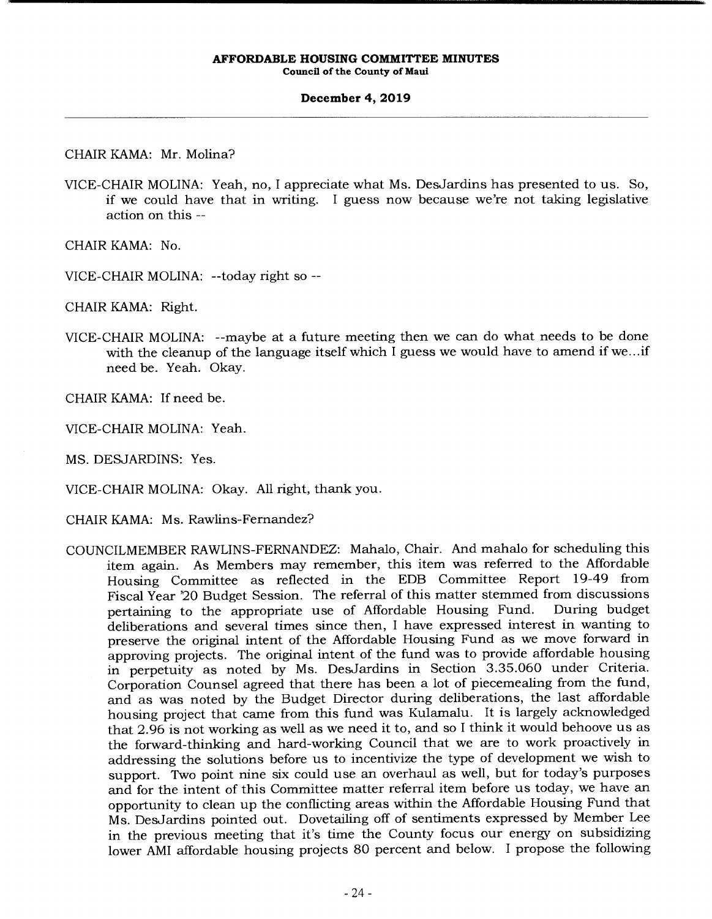# **December 4, 2019**

CHAIR KAMA: Mr. Molina?

VICE-CHAIR MOLINA: Yeah, no, I appreciate what Ms. DesJardins has presented to us. So, if we could have that in writing. I guess now because we're not taking legislative action on this --

CHAIR KAMA: No.

VICE-CHAIR MOLINA: --today right so --

CHAIR KAMA: Right.

VICE-CHAIR MOLINA: --maybe at a future meeting then we can do what needs to be done with the cleanup of the language itself which I guess we would have to amend if we...if need be. Yeah. Okay.

CHAIR KAMA: If need be.

VICE-CHAIR MOLINA: Yeah.

MS. DESJARDINS: Yes.

VICE-CHAIR MOLINA: Okay. All right, thank you.

CHAIR KAMA: Ms. Rawlins-Fernandez?

COUNCILMEMBER RAWLINS-FERNANDEZ: Mahalo, Chair. And mahalo for scheduling this item again. As Members may remember, this item was referred to the Affordable Housing Committee as reflected in the EDB Committee Report 19-49 from Fiscal Year '20 Budget Session. The referral of this matter stemmed from discussions pertaining to the appropriate use of Affordable Housing Fund. During budget deliberations and several times since then, I have expressed interest in wanting to preserve the original intent of the Affordable Housing Fund as we move forward in approving projects. The original intent of the fund was to provide affordable housing in perpetuity as noted by Ms. DesJardins in Section 3.35.060 under Criteria. Corporation Counsel agreed that there has been a lot of piecemealing from the fund, and as was noted by the Budget Director during deliberations, the last affordable housing project that came from this fund was Kulamalu. It is largely acknowledged that 2.96 is not working as well as we need it to, and so I think it would behoove us as the forward-thinking and hard-working Council that we are to work proactively in addressing the solutions before us to incentivize the type of development we wish to support. Two point nine six could use an overhaul as well, but for today's purposes and for the intent of this Committee matter referral item before us today, we have an opportunity to clean up the conflicting areas within the Affordable Housing Fund that Ms. DesJardins pointed out. Dovetailing off of sentiments expressed by Member Lee in the previous meeting that it's time the County focus our energy on subsidizing lower AMI affordable housing projects 80 percent and below. I propose the following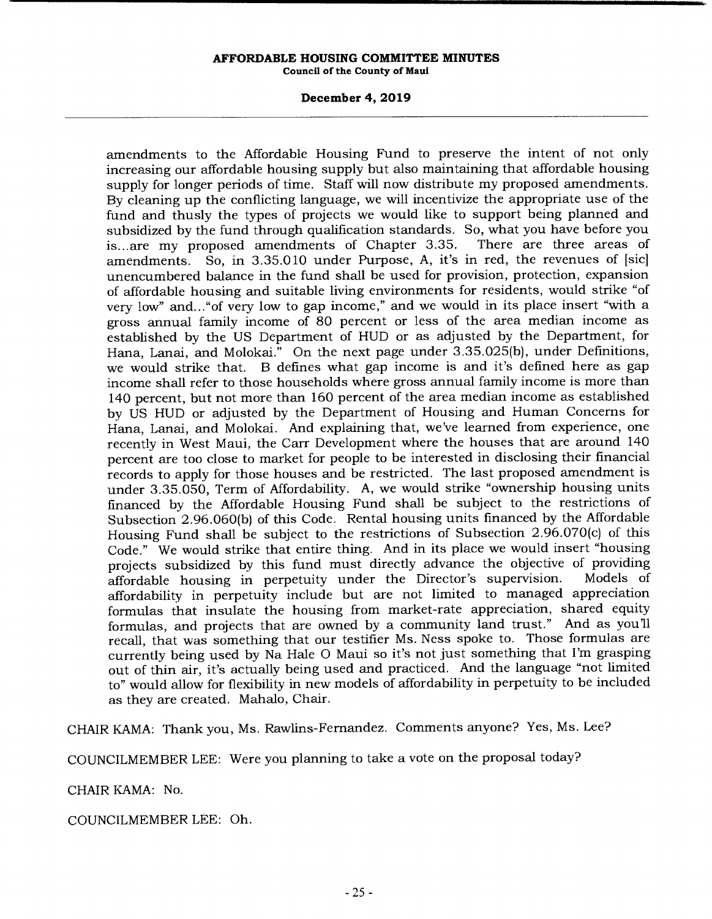# **December 4, 2019**

amendments to the Affordable Housing Fund to preserve the intent of not only increasing our affordable housing supply but also maintaining that affordable housing supply for longer periods of time. Staff will now distribute my proposed amendments. By cleaning up the conflicting language, we will incentivize the appropriate use of the fund and thusly the types of projects we would like to support being planned and subsidized by the fund through qualification standards. So, what you have before you<br>is...are my proposed amendments of Chapter 3.35. There are three areas of is... are my proposed amendments of Chapter 3.35. amendments. So, in 3.35.010 under Purpose, A, it's in red, the revenues of [sic] unencumbered balance in the fund shall be used for provision, protection, expansion of affordable housing and suitable living environments for residents, would strike "of very low" and... "of very low to gap income," and we would in its place insert "with a gross annual family income of 80 percent or less of the area median income as established by the US Department of HUD or as adjusted by the Department, for Hana, Lanai, and Molokai." On the next page under 3.35.025(b), under Definitions, we would strike that. B defines what gap income is and it's defined here as gap income shall refer to those households where gross annual family income is more than 140 percent, but not more than 160 percent of the area median income as established by US HUD or adjusted by the Department of Housing and Human Concerns for Hana, Lanai, and Molokai. And explaining that, we've learned from experience, one recently in West Maui, the Carr Development where the houses that are around 140 percent are too close to market for people to be interested in disclosing their financial records to apply for those houses and be restricted. The last proposed amendment is under 3.35.050, Term of Affordability. A, we would strike "ownership housing units financed by the Affordable Housing Fund shall be subject to the restrictions of Subsection 2.96.060(b) of this Code. Rental housing units financed by the Affordable Housing Fund shall be subject to the restrictions of Subsection 2.96.070(c) of this Code." We would strike that entire thing. And in its place we would insert "housing projects subsidized by this fund must directly advance the objective of providing<br>affordable housing in perpetuity under the Director's supervision. Models of affordable housing in perpetuity under the Director's supervision. affordability in perpetuity include but are not limited to managed appreciation formulas that insulate the housing from market-rate appreciation, shared equity formulas, and projects that are owned by a community land trust." And as you'll recall, that was something that our testifier Ms. Ness spoke to. Those formulas are currently being used by Na Hale 0 Maui so it's not just something that I'm grasping out of thin air, it's actually being used and practiced. And the language "not limited to" would allow for flexibility in new models of affordability in perpetuity to be included as they are created. Mahalo, Chair.

CHAIR KAMA: Thank you, Ms. Rawlins-Fernandez. Comments anyone? Yes, Ms. Lee?

COUNCILMEMBER LEE: Were you planning to take a vote on the proposal today?

CHAIR KAMA: No.

COUNCILMEMBER LEE: Oh.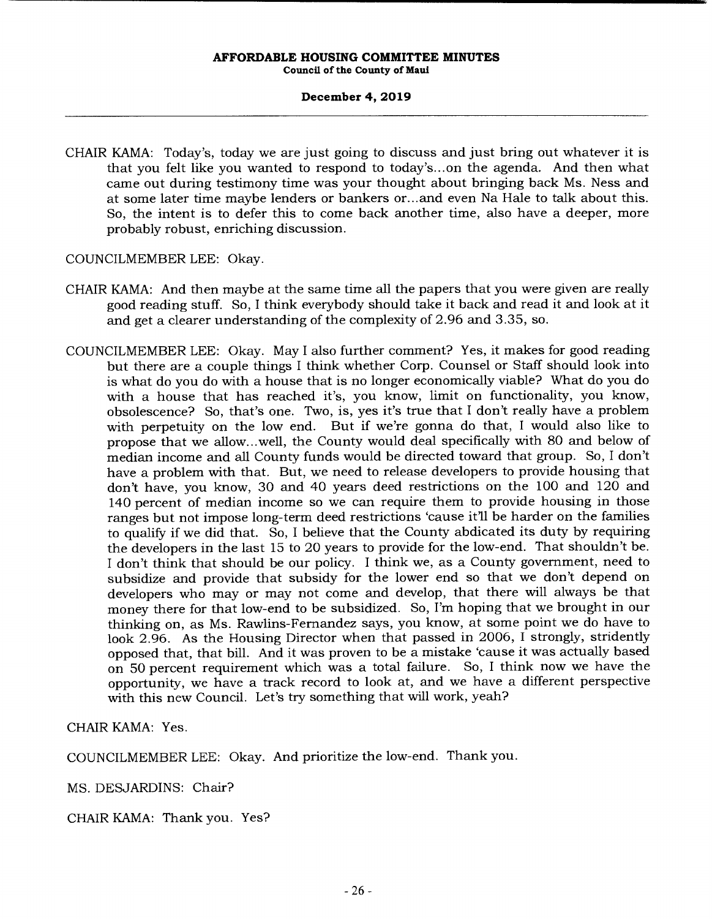# **December 4, 2019**

CHAIR KAMA: Today's, today we are just going to discuss and just bring out whatever it is that you felt like you wanted to respond to today's... on the agenda. And then what came out during testimony time was your thought about bringing back Ms. Ness and at some later time maybe lenders or bankers or... and even Na Hale to talk about this. So, the intent is to defer this to come back another time, also have a deeper, more probably robust, enriching discussion.

COUNCILMEMBER LEE: Okay.

- CHAIR KAMA: And then maybe at the same time all the papers that you were given are really good reading stuff. So, I think everybody should take it back and read it and look at it and get a clearer understanding of the complexity of 2.96 and 3.35, so.
- COUNCILMEMBER LEE: Okay. May I also further comment? Yes, it makes for good reading but there are a couple things I think whether Corp. Counsel or Staff should look into is what do you do with a house that is no longer economically viable? What do you do with a house that has reached it's, you know, limit on functionality, you know, obsolescence? So, that's one. Two, is, yes it's true that I don't really have a problem with perpetuity on the low end. But if we're gonna do that, I would also like to propose that we allow.. .well, the County would deal specifically with 80 and below of median income and all County funds would be directed toward that group. So, I don't have a problem with that. But, we need to release developers to provide housing that don't have, you know, 30 and 40 years deed restrictions on the 100 and 120 and 140 percent of median income so we can require them to provide housing in those ranges but not impose long-term deed restrictions 'cause it'll be harder on the families to qualify if we did that. So, I believe that the County abdicated its duty by requiring the developers in the last 15 to 20 years to provide for the low-end. That shouldn't be. I don't think that should be our policy. I think we, as a County government, need to subsidize and provide that subsidy for the lower end so that we don't depend on developers who may or may not come and develop, that there will always be that money there for that low-end to be subsidized. So, I'm hoping that we brought in our thinking on, as Ms. Rawlins-Fernandez says, you know, at some point we do have to look 2.96. As the Housing Director when that passed in 2006, I strongly, stridently opposed that, that bill. And it was proven to be a mistake 'cause it was actually based on 50 percent requirement which was a total failure. So, I think now we have the opportunity, we have a track record to look at, and we have a different perspective with this new Council. Let's try something that will work, yeah?

CHAIR KAMA: Yes.

COUNCILMEMBER LEE: Okay. And prioritize the low-end. Thank you.

MS. DESJARDINS: Chair?

CHAIR KAMA: Thank you. Yes?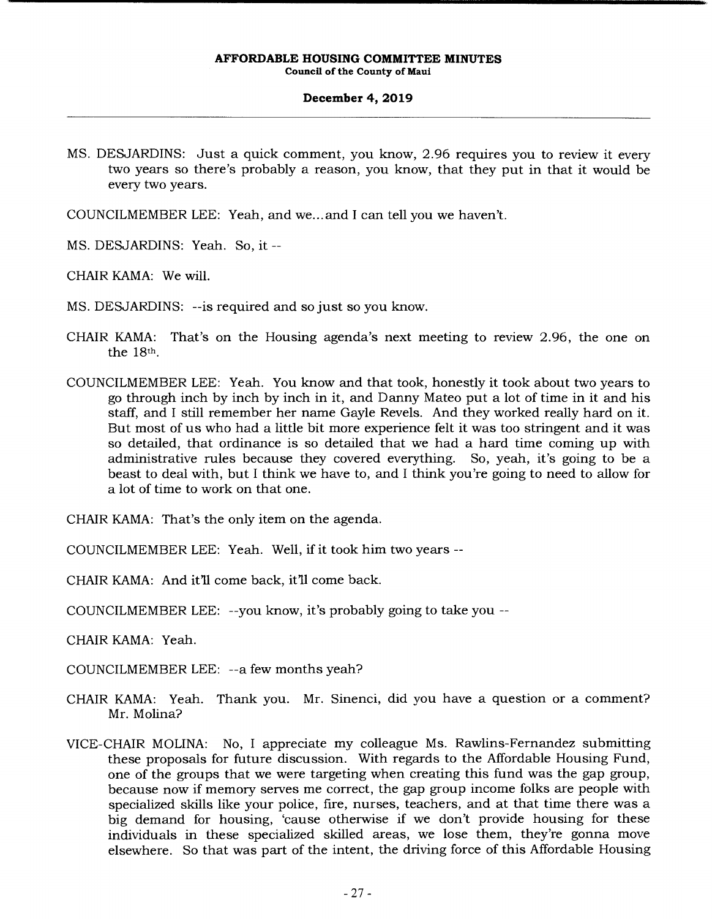## **December 4, 2019**

- MS. DESJARDINS: Just a quick comment, you know, 2.96 requires you to review it every two years so there's probably a reason, you know, that they put in that it would be every two years.
- COUNCILMEMBER LEE: *Yeah,* and we... and I can tell you we haven't.
- MS. DESJARDINS: Yeah. So, it --
- CHAIR KAMA: We will.
- MS. DESJARDINS: --is required and so just so you know.
- CHAIR KAMA: That's on the Housing agenda's next meeting to review 2.96, the one on the 18th.
- COUNCILMEMBER LEE: Yeah. You know and that took, honestly it took about two years to go through inch by inch by inch in it, and Danny Mateo put a lot of time in it and his staff, and I still remember her name Gayle Revels. And they worked really hard on it. But most of us who had a little bit more experience felt it was too stringent and it was so detailed, that ordinance is so detailed that we had a hard time coming up with administrative rules because they covered everything. So, yeah, it's going to be a beast to deal with, but I think we have to, and I think you're going to need to allow for a lot of time to work on that one.
- CHAIR KAMA: That's the only item on the agenda.
- COUNCILMEMBER LEE: Yeah. Well, if it took him two years --
- CHAIR KAMA: And it'll come back, it'll come back.
- COUNCILMEMBER LEE: --you know, it's probably going to take you --
- CHAIR KAMA: Yeah.
- COUNCILMEMBER LEE: --a few months yeah?
- CHAIR KAMA: Yeah. Thank you. Mr. Sinenci, did you have a question or a comment? Mr. Molina?
- VICE-CHAIR MOLINA: No, I appreciate my colleague Ms. Rawlins-Fernandez submitting these proposals for future discussion. With regards to the Affordable Housing Fund, one of the groups that we were targeting when creating this fund was the gap group, because now if memory serves me correct, the gap group income folks are people with specialized skills like your police, fire, nurses, teachers, and at that time there was a big demand for housing, 'cause otherwise if we don't provide housing for these individuals in these specialized skilled areas, we lose them, they're gonna move elsewhere. So that was part of the intent, the driving force of this Affordable Housing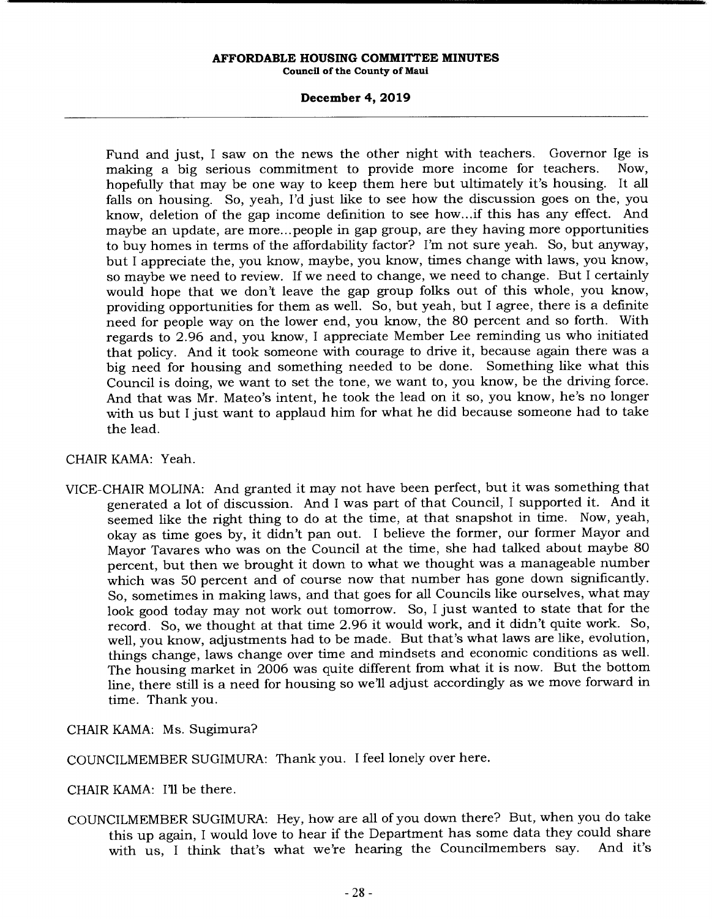# **December 4, 2019**

Fund and just, I saw on the news the other night with teachers. Governor Ige is making a big serious commitment to provide more income for teachers. Now, hopefully that may be one way to keep them here but ultimately it's housing. It all falls on housing. So, yeah, I'd just like to see how the discussion goes on the, you know, deletion of the gap income definition to see how... if this has any effect. And maybe an update, are more... people in gap group, are they having more opportunities to buy homes in terms of the affordability factor? I'm not sure yeah. So, but anyway, but I appreciate the, you know, maybe, you know, times change with laws, you know, so maybe we need to review. If we need to change, we need to change. But I certainly would hope that we don't leave the gap group folks out of this whole, you know, providing opportunities for them as well. So, but yeah, but I agree, there is a definite need for people way on the lower end, you know, the 80 percent and so forth. With regards to 2.96 and, you know, I appreciate Member Lee reminding us who initiated that policy. And it took someone with courage to drive it, because again there was a big need for housing and something needed to be done. Something like what this Council is doing, we want to set the tone, we want to, you know, be the driving force. And that was Mr. Mateo's intent, he took the lead on it so, you know, he's no longer with us but I just want to applaud him for what he did because someone had to take the lead.

# CHAIR KAMA: *Yeah.*

VICE-CHAIR MOLINA: And granted it may not have been perfect, but it was something that generated a lot of discussion. And I was part of that Council, I supported it. And it seemed like the right thing to do at the time, at that snapshot in time. Now, yeah, okay as time goes by, it didn't pan out. I believe the former, our former Mayor and Mayor Tavares who was on the Council at the time, she had talked about maybe 80 percent, but then we brought it down to what we thought was a manageable number which was 50 percent and of course now that number has gone down significantly. So, sometimes in making laws, and that goes for all Councils like ourselves, what may look good today may not work out tomorrow. So, I just wanted to state that for the record. So, we thought at that time 2.96 it would work, and it didn't quite work. So, well, you know, adjustments had to be made. But that's what laws are like, evolution, things change, laws change over time and mindsets and economic conditions as well. The housing market in 2006 was quite different from what it is now. But the bottom line, there still is a need for housing so we'll adjust accordingly as we move forward in time. Thank you.

CHAIR KAMA: Ms. Sugimura?

COUNCILMEMBER SUGIMURA: Thank you. I feel lonely over here.

CHAIR KAMA: I'll be there.

COUNCILMEMBER SUGIMURA: Hey, how are all of you down there? But, when you do take this up again, I would love to hear if the Department has some data they could share<br>with us I think that's what we're hearing the Councilmembers say. And it's with us, I think that's what we're hearing the Councilmembers say.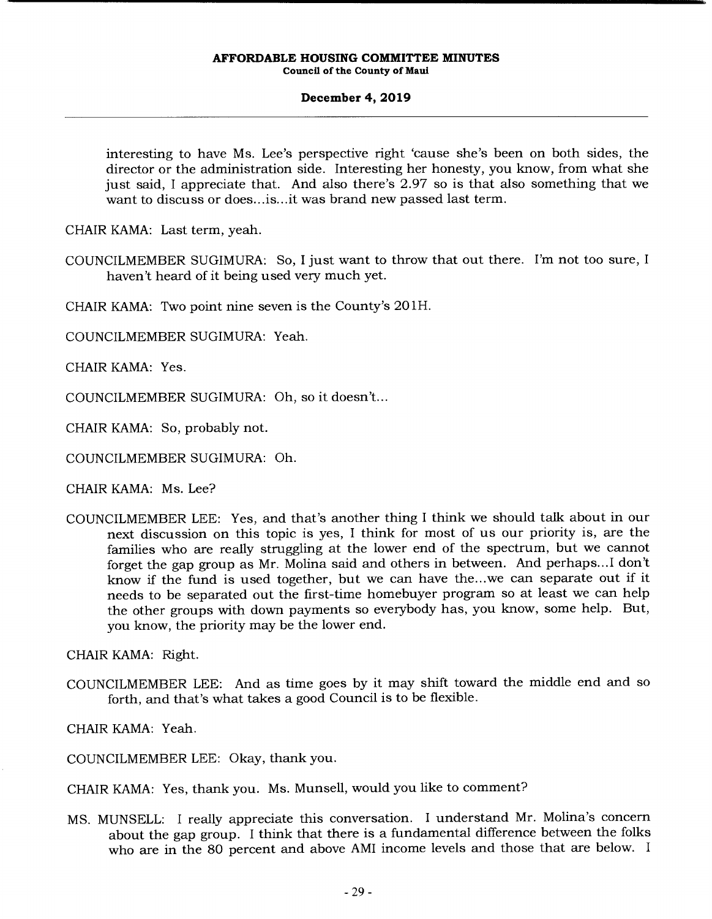# **December 4, 2019**

interesting to have Ms. Lee's perspective right 'cause she's been on both sides, the director or the administration side. Interesting her honesty, you know, from what she just said, I appreciate that. And also there's 2.97 so is that also something that we want to discuss or does... is.. .it was brand new passed last term.

CHAIR KAMA: Last term, yeah.

COUNCILMEMBER SUGIMURA: So, I just want to throw that out there. I'm not too sure, I haven't heard of it being used very much yet.

CHAIR KAMA: Two point nine seven is the County's 201H.

COUNCILMEMBER SUGIMURA: Yeah.

CHAIR KAMA: Yes.

COUNCILMEMBER SUGIMURA: Oh, so it doesn't...

CHAIR KAMA: So, probably not.

COUNCILMEMBER SUGIMURA: Oh.

CHAIR KAMA: Ms. Lee?

COUNCILMEMBER LEE: Yes, and that's another thing I think we should talk about in our next discussion on this topic is yes, I think for most of us our priority is, are the families who are really struggling at the lower end of the spectrum, but we cannot forget the gap group as Mr. Molina said and others in between. And perhaps... I don't know if the fund is used together, but we can have the.. .we can separate out if it needs to be separated out the first-time homebuyer program so at least we can help the other groups with down payments so everybody has, you know, some help. But, you know, the priority may be the lower end.

CHAIR KAMA: Right.

COUNCILMEMBER LEE: And as time goes by it may shift toward the middle end and so forth, and that's what takes a good Council is to be flexible.

CHAIR KAMA: Yeah.

COUNCILMEMBER LEE: Okay, thank you.

CHAIR KAMA: Yes, thank you. Ms. Munsell, would you like to comment?

MS. MUNSELL: I really appreciate this conversation. I understand Mr. Molina's concern about the gap group. I think that there is a fundamental difference between the folks who are in the 80 percent and above AMI income levels and those that are below. I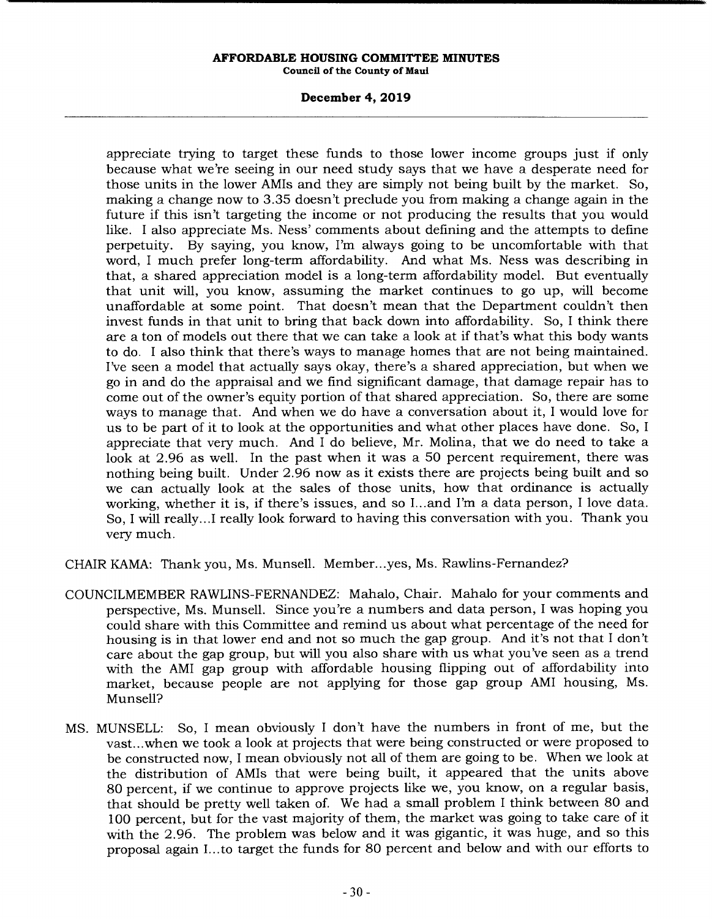# **December 4, 2019**

appreciate trying to target these funds to those lower income groups just if only because what we're seeing in our need study says that we have a desperate need for those units in the lower AMIs and they are simply not being built by the market. So, making a change now to 3.35 doesn't preclude you from making a change again in the future if this isn't targeting the income or not producing the results that you would like. I also appreciate Ms. Ness' comments about defining and the attempts to define perpetuity. By saying, you know, I'm always going to be uncomfortable with that word, I much prefer long-term affordability. And what Ms. Ness was describing in that, a shared appreciation model is a long-term affordability model. But eventually that unit will, you know, assuming the market continues to go up, will become unaffordable at some point. That doesn't mean that the Department couldn't then invest funds in that unit to bring that back down into affordability. So, I think there are a ton of models out there that we can take a look at if that's what this body wants to do. I also think that there's ways to manage homes that are not being maintained. I've seen a model that actually says okay, there's a shared appreciation, but when we go in and do the appraisal and we find significant damage, that damage repair has to come out of the owner's equity portion of that shared appreciation. So, there are some ways to manage that. And when we do have a conversation about it, I would love for us to be part of it to look at the opportunities and what other places have done. So, I appreciate that very much. And I do believe, Mr. Molina, that we do need to take a look at 2.96 as well. In the past when it was a 50 percent requirement, there was nothing being built. Under 2.96 now as it exists there are projects being built and so we can actually look at the sales of those units, how that ordinance is actually working, whether it is, if there's issues, and so I... and I'm a data person, I love data. So, I will really.. .1 really look forward to having this conversation with you. Thank you very much.

CHAIR KAMA: Thank you, Ms. Munsell. Member.. .yes, Ms. Rawlins-Fernandez?

- COUNCILMEMBER RAWLINS-FERNANDEZ: Mahalo, Chair. Mahalo for your comments and perspective, Ms. Munsell. Since you're a numbers and data person, I was hoping you could share with this Committee and remind us about what percentage of the need for housing is in that lower end and not so much the gap group. And it's not that I don't care about the gap group, but will you also share with us what you've seen as a trend with the AMI gap group with affordable housing flipping out of affordability into market, because people are not applying for those gap group AMI housing, Ms. Munsell?
- MS. MUNSELL: So, I mean obviously I don't have the numbers in front of me, but the vast.., when we took a look at projects that were being constructed or were proposed to be constructed now, I mean obviously not all of them are going to be. When we look at the distribution of AMIs that were being built, it appeared that the units above 80 percent, if we continue to approve projects like we, you know, on a regular basis, that should be pretty well taken of. We had a small problem I think between 80 and 100 percent, but for the vast majority of them, the market was going to take care of it with the 2.96. The problem was below and it was gigantic, it was huge, and so this proposal again I... to target the funds for 80 percent and below and with our efforts to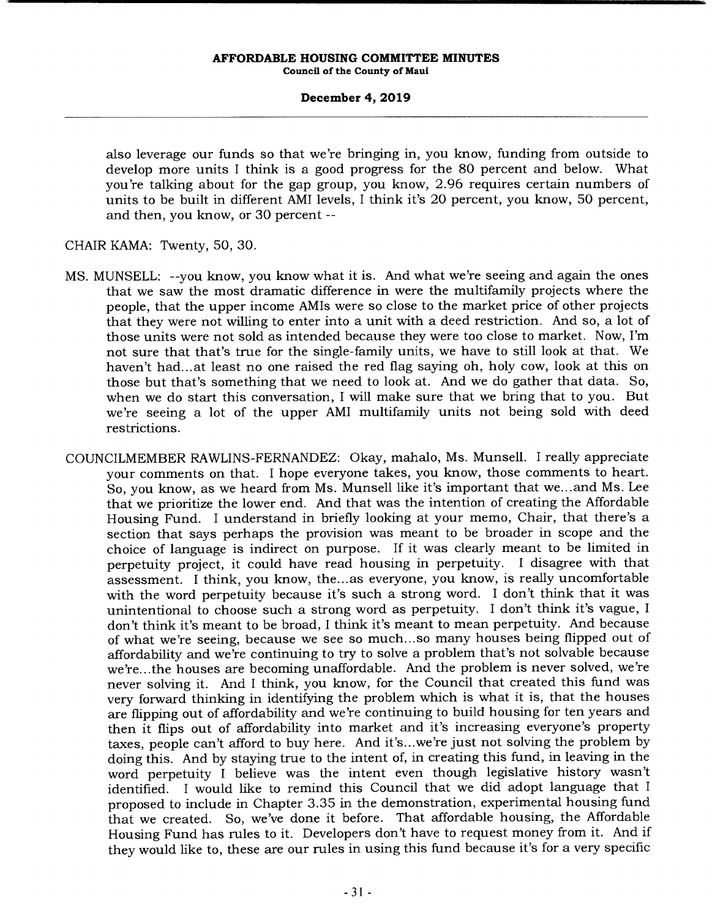## **December 4, 2019**

also leverage our funds so that we're bringing in, you know, funding from outside to develop more units I think is a good progress for the 80 percent and below. What you're talking about for the gap group, you know, 2.96 requires certain numbers of units to be built in different AMI levels, I think it's 20 percent, you know, 50 percent, and then, you know, or 30 percent --

CHAIR KAMA: Twenty, 50, 30.

- MS. MUNSELL: --you know, you know what it is. And what we're seeing and again the ones that we saw the most dramatic difference in were the multifamily projects where the people, that the upper income AMIs were so close to the market price of other projects that they were not willing to enter into a unit with a deed restriction. And so, a lot of those units were not sold as intended because they were too close to market. Now, I'm not sure that that's true for the single-family units, we have to still look at that. We haven't had... at least no one raised the red flag saying oh, holy cow, look at this on those but that's something that we need to look at. And we do gather that data. So, when we do start this conversation, I will make sure that we bring that to you. But we're seeing a lot of the upper AMI multifamily units not being sold with deed restrictions.
- COUNCILMEMBER RAWLINS-FERNANDEZ: Okay, mahalo, Ms. Munsell. I really appreciate your comments on that. I hope everyone takes, you know, those comments to heart. So, you know, as we heard from Ms. Munsell like it's important that we... and Ms. Lee that we prioritize the lower end. And that was the intention of creating the Affordable Housing Fund. I understand in briefly looking at your memo, Chair, that there's a section that says perhaps the provision was meant to be broader in scope and the choice of language is indirect on purpose. If it was clearly meant to be limited in perpetuity project, it could have read housing in perpetuity. I disagree with that assessment. I think, you know, the... as everyone, you know, is really uncomfortable with the word perpetuity because it's such a strong word. I don't think that it was unintentional to choose such a strong word as perpetuity. I don't think it's vague, I don't think it's meant to be broad, I think it's meant to mean perpetuity. And because of what we're seeing, because we see so much... so many houses being flipped out of affordability and we're continuing to try to solve a problem that's not solvable because we're.. .the houses are becoming unaffordable. And the problem is never solved, we're never solving it. And I think, you know, for the Council that created this fund was very forward thinking in identifying the problem which is what it is, that the houses are flipping out of affordability and we're continuing to build housing for ten years and then it flips out of affordability into market and it's increasing everyone's property taxes, people can't afford to buy here. And it's.. .we're just not solving the problem by doing this. And by staying true to the intent of, in creating this fund, in leaving in the word perpetuity I believe was the intent even though legislative history wasn't identified. I would like to remind this Council that we did adopt language that I proposed to include in Chapter 3.35 in the demonstration, experimental housing fund that we created. So, we've done it before. That affordable housing, the Affordable Housing Fund has rules to it. Developers don't have to request money from it. And if they would like to, these are our rules in using this fund because it's for a very specific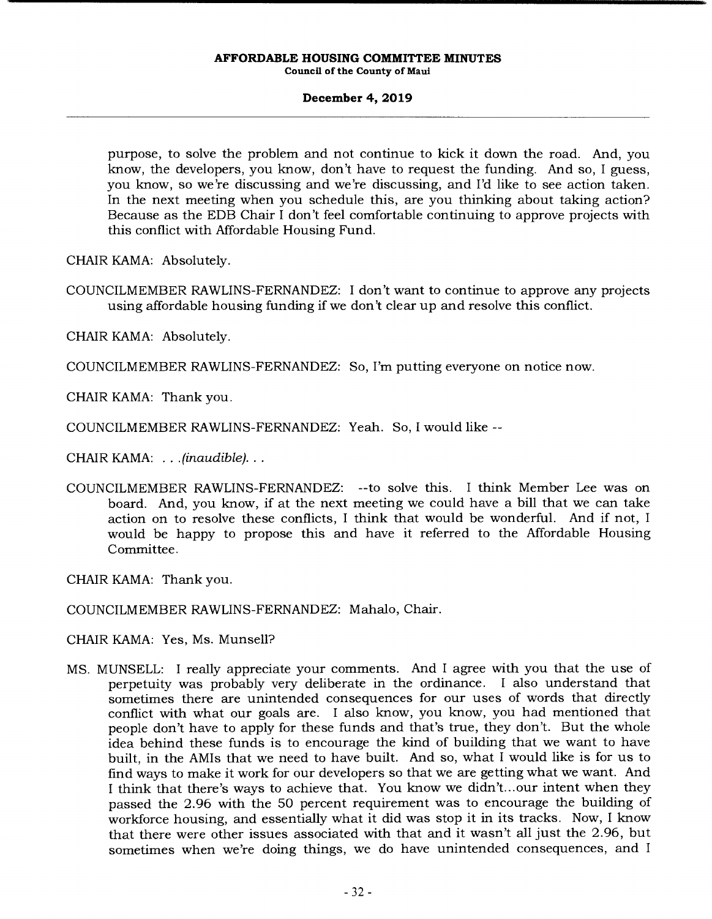# **December 4, 2019**

purpose, to solve the problem and not continue to kick it down the road. And, you know, the developers, you know, don't have to request the funding. And so, I guess, you know, so we're discussing and we're discussing, and I'd like to see action taken. In the next meeting when you schedule this, are you thinking about taking action? Because as the EDB Chair I don't feel comfortable continuing to approve projects with this conflict with Affordable Housing Fund.

CHAIR KAMA: Absolutely.

COUNCILMEMBER RAWLINS-FERNANDEZ: I don't want to continue to approve any projects using affordable housing funding if we don't clear up and resolve this conflict.

CHAIR KAMA: Absolutely.

COUNCILMEMBER RAWLINS-FERNANDEZ: So, I'm putting everyone on notice now.

CHAIR KAMA: Thank you.

COUNCILMEMBER RAWLINS-FERNANDEZ: Yeah. So, I would like --

CHAIR KAMA: . . . *(inaudible)...* 

COUNCILMEMBER RAWLINS-FERNANDEZ: --to solve this. I think Member Lee was on board. And, you know, if at the next meeting we could have a bill that we can take action on to resolve these conflicts, I think that would be wonderful. And if not, I would be happy to propose this and have it referred to the Affordable Housing Committee.

CHAIR KAMA: Thank you.

COUNCILMEMBER RAWLINS-FERNANDEZ: Mahalo, Chair.

CHAIR KAMA: Yes, Ms. Munsell?

MS. MUNSELL: I really appreciate your comments. And I agree with you that the use of perpetuity was probably very deliberate in the ordinance. I also understand that sometimes there are unintended consequences for our uses of words that directly conflict with what our goals are. I also know, you know, you had mentioned that people don't have to apply for these funds and that's true, they don't. But the whole idea behind these funds is to encourage the kind of building that we want to have built, in the AMIs that we need to have built. And so, what I would like is for us to find ways to make it work for our developers so that we are getting what we want. And I think that there's ways to achieve that. You know we didn't... our intent when they passed the 2.96 with the 50 percent requirement was to encourage the building of workforce housing, and essentially what it did was stop it in its tracks. Now, I know that there were other issues associated with that and it wasn't all just the 2.96, but sometimes when we're doing things, we do have unintended consequences, and I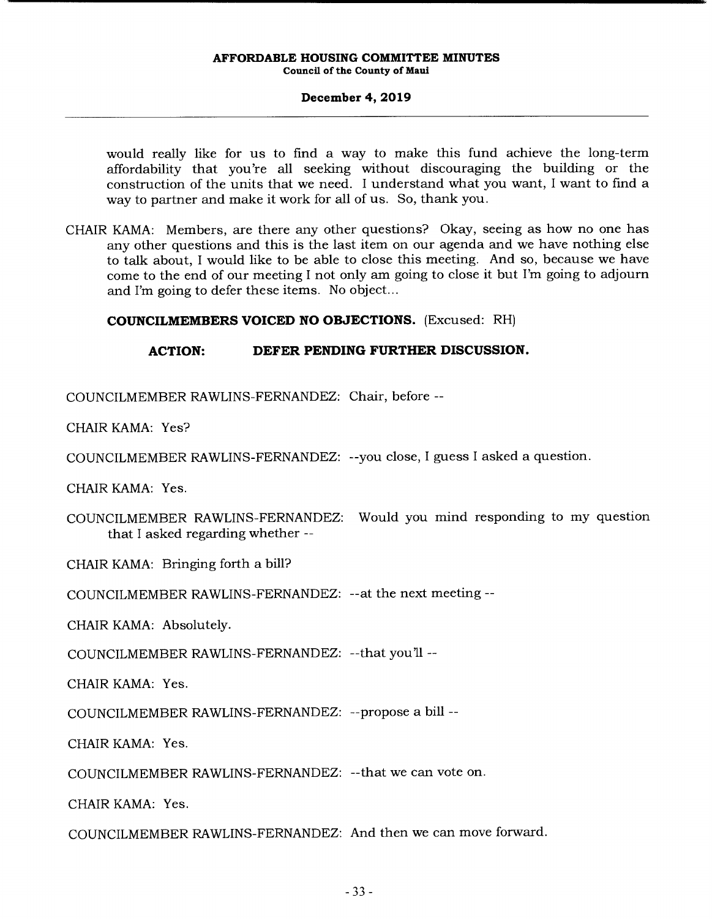# **December 4, 2019**

would really like for us to find a way to make this fund achieve the long-term affordability that you're all seeking without discouraging the building or the construction of the units that we need. I understand what you want, I want to find a way to partner and make it work for all of us. So, thank you.

CHAIR KAMA: Members, are there any other questions? Okay, seeing as how no one has any other questions and this is the last item on our agenda and we have nothing else to talk about, I would like to be able to close this meeting. And so, because we have come to the end of our meeting I not only am going to close it but I'm going to adjourn and I'm going to defer these items. No object...

# **COUNCILMEMBERS VOICED NO OBJECTIONS.** (Excused: RH)

# **ACTION: DEFER PENDING FURTHER DISCUSSION.**

COUNCILMEMBER RAWLINS-FERNANDEZ: Chair, before --

CHAIR KAMA: Yes?

COUNCILMEMBER RAWLINS-FERNANDEZ: --you close, I guess I asked a question.

CHAIR KAMA: Yes.

COUNCILMEMBER RAWLINS-FERNANDEZ: Would you mind responding to my question that I asked regarding whether --

CHAIR KAMA: Bringing forth a bill?

COUNCILMEMBER RAWLINS-FERNANDEZ: --at the next meeting --

CHAIR KAMA: Absolutely.

COUNCILMEMBER RAWLINS-FERNANDEZ: --that you'll --

CHAIR KAMA: Yes.

COUNCILMEMBER RAWLINS-FERNANDEZ: --propose a bill --

CHAIR KAMA: Yes.

COUNCILMEMBER RAWLINS-FERNANDEZ: --that we can vote on.

CHAIR KAMA: Yes.

COUNCILMEMBER RAWLINS-FERNANDEZ: And then we can move forward.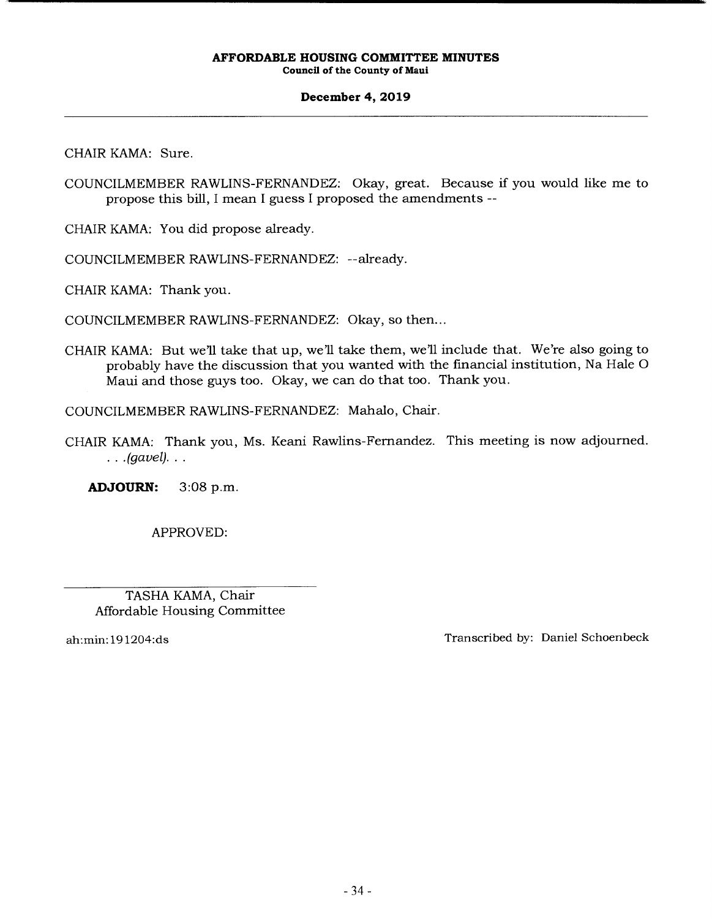# **December 4, 2019**

CHAIR KAMA: Sure.

COUNCILMEMBER RAWLINS-FERNANDEZ: Okay, great. Because if you would like me to propose this bill, I mean I guess I proposed the amendments --

CHAIR KAMA: You did propose already.

COUNCILMEMBER RAWLINS-FERNANDEZ: --already.

CHAIR KAMA: Thank you.

COUNCILMEMBER RAWLINS-FERNANDEZ: Okay, so then...

CHAIR KAMA: But we'll take that up, we'll take them, we'll include that. We're also going to probably have the discussion that you wanted with the financial institution, Na Hale 0 Maui and those guys too. Okay, we can do that too. Thank you.

COUNCILMEMBER RAWLINS-FERNANDEZ: Mahalo, Chair.

CHAIR KAMA: Thank you, Ms. Keani Rawlins-Fernandez. This meeting is now adjourned. *(gavel).* 

**ADJOURN:** 3:08 p.m.

APPROVED:

TASHA KAMA, Chair Affordable Housing Committee

ah:min: 19 1204:ds Transcribed by: Daniel Schoenbeck